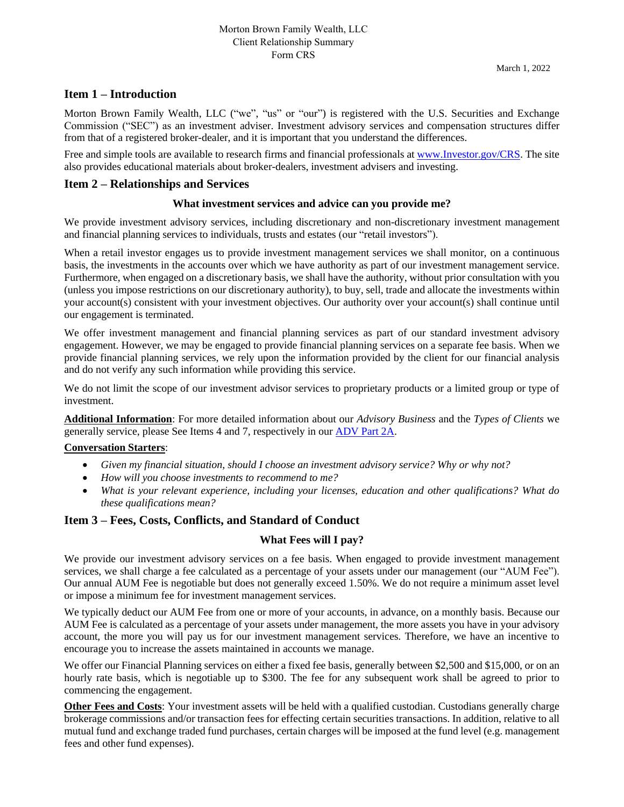#### **Item 1 – Introduction**

Morton Brown Family Wealth, LLC ("we", "us" or "our") is registered with the U.S. Securities and Exchange Commission ("SEC") as an investment adviser. Investment advisory services and compensation structures differ from that of a registered broker-dealer, and it is important that you understand the differences.

Free and simple tools are available to research firms and financial professionals at [www.Investor.gov/CRS.](http://www.investor.gov/CRS) The site also provides educational materials about broker-dealers, investment advisers and investing.

#### **Item 2 – Relationships and Services**

#### **What investment services and advice can you provide me?**

We provide investment advisory services, including discretionary and non-discretionary investment management and financial planning services to individuals, trusts and estates (our "retail investors").

When a retail investor engages us to provide investment management services we shall monitor, on a continuous basis, the investments in the accounts over which we have authority as part of our investment management service. Furthermore, when engaged on a discretionary basis, we shall have the authority, without prior consultation with you (unless you impose restrictions on our discretionary authority), to buy, sell, trade and allocate the investments within your account(s) consistent with your investment objectives. Our authority over your account(s) shall continue until our engagement is terminated.

We offer investment management and financial planning services as part of our standard investment advisory engagement. However, we may be engaged to provide financial planning services on a separate fee basis. When we provide financial planning services, we rely upon the information provided by the client for our financial analysis and do not verify any such information while providing this service.

We do not limit the scope of our investment advisor services to proprietary products or a limited group or type of investment.

**Additional Information**: For more detailed information about our *Advisory Business* and the *Types of Clients* we generally service, please See Items 4 and 7, respectively in our [ADV Part 2A.](https://files.adviserinfo.sec.gov/IAPD/Content/Common/crd_iapd_Brochure.aspx?BRCHR_VRSN_ID=749698)

#### **Conversation Starters**:

- *Given my financial situation, should I choose an investment advisory service? Why or why not?*
- *How will you choose investments to recommend to me?*
- *What is your relevant experience, including your licenses, education and other qualifications? What do these qualifications mean?*

#### **Item 3 – Fees, Costs, Conflicts, and Standard of Conduct**

#### **What Fees will I pay?**

We provide our investment advisory services on a fee basis. When engaged to provide investment management services, we shall charge a fee calculated as a percentage of your assets under our management (our "AUM Fee"). Our annual AUM Fee is negotiable but does not generally exceed 1.50%. We do not require a minimum asset level or impose a minimum fee for investment management services.

We typically deduct our AUM Fee from one or more of your accounts, in advance, on a monthly basis. Because our AUM Fee is calculated as a percentage of your assets under management, the more assets you have in your advisory account, the more you will pay us for our investment management services. Therefore, we have an incentive to encourage you to increase the assets maintained in accounts we manage.

We offer our Financial Planning services on either a fixed fee basis, generally between \$2,500 and \$15,000, or on an hourly rate basis, which is negotiable up to \$300. The fee for any subsequent work shall be agreed to prior to commencing the engagement.

**Other Fees and Costs**: Your investment assets will be held with a qualified custodian. Custodians generally charge brokerage commissions and/or transaction fees for effecting certain securities transactions. In addition, relative to all mutual fund and exchange traded fund purchases, certain charges will be imposed at the fund level (e.g. management fees and other fund expenses).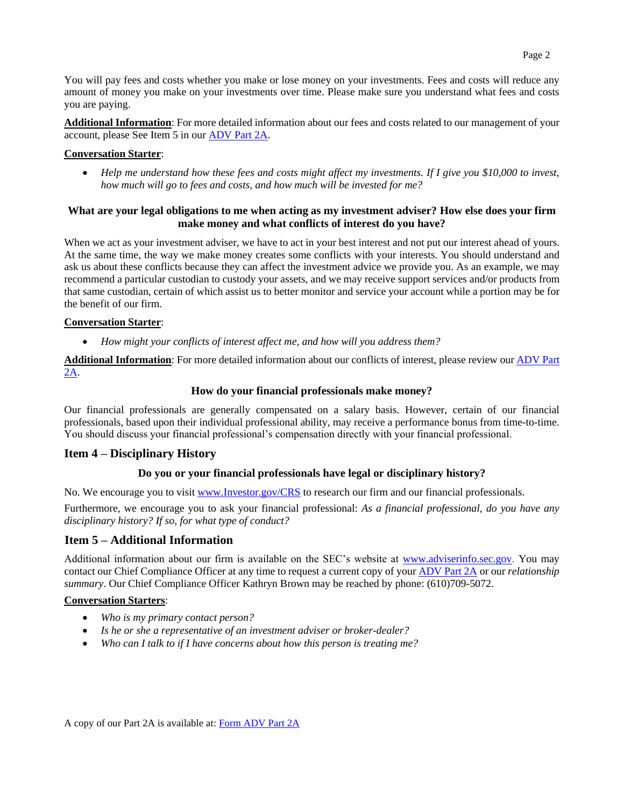You will pay fees and costs whether you make or lose money on your investments. Fees and costs will reduce any amount of money you make on your investments over time. Please make sure you understand what fees and costs you are paying.

**Additional Information**: For more detailed information about our fees and costs related to our management of your account, please See Item 5 in ou[r ADV Part 2A.](https://files.adviserinfo.sec.gov/IAPD/Content/Common/crd_iapd_Brochure.aspx?BRCHR_VRSN_ID=749698)

#### **Conversation Starter**:

• *Help me understand how these fees and costs might affect my investments. If I give you \$10,000 to invest, how much will go to fees and costs, and how much will be invested for me?*

#### **What are your legal obligations to me when acting as my investment adviser? How else does your firm make money and what conflicts of interest do you have?**

When we act as your investment adviser, we have to act in your best interest and not put our interest ahead of yours. At the same time, the way we make money creates some conflicts with your interests. You should understand and ask us about these conflicts because they can affect the investment advice we provide you. As an example, we may recommend a particular custodian to custody your assets, and we may receive support services and/or products from that same custodian, certain of which assist us to better monitor and service your account while a portion may be for the benefit of our firm.

#### **Conversation Starter**:

• *How might your conflicts of interest affect me, and how will you address them?*

**Additional Information**: For more detailed information about our conflicts of interest, please review our [ADV Part](https://files.adviserinfo.sec.gov/IAPD/Content/Common/crd_iapd_Brochure.aspx?BRCHR_VRSN_ID=749698)  [2A.](https://files.adviserinfo.sec.gov/IAPD/Content/Common/crd_iapd_Brochure.aspx?BRCHR_VRSN_ID=749698)

#### **How do your financial professionals make money?**

Our financial professionals are generally compensated on a salary basis. However, certain of our financial professionals, based upon their individual professional ability, may receive a performance bonus from time-to-time. You should discuss your financial professional's compensation directly with your financial professional.

#### **Item 4 – Disciplinary History**

#### **Do you or your financial professionals have legal or disciplinary history?**

No. We encourage you to visit [www.Investor.gov/CRS](http://www.investor.gov/CRS) to research our firm and our financial professionals.

Furthermore, we encourage you to ask your financial professional: *As a financial professional, do you have any disciplinary history? If so, for what type of conduct?*

#### **Item 5 – Additional Information**

Additional information about our firm is available on the SEC's website at [www.adviserinfo.sec.gov.](http://www.adviserinfo.sec.gov/) You may contact our Chief Compliance Officer at any time to request a current copy of your [ADV Part 2A](https://files.adviserinfo.sec.gov/IAPD/Content/Common/crd_iapd_Brochure.aspx?BRCHR_VRSN_ID=749698) or our *relationship summary*. Our Chief Compliance Officer Kathryn Brown may be reached by phone: (610)709-5072.

#### **Conversation Starters**:

- *Who is my primary contact person?*
- *Is he or she a representative of an investment adviser or broker-dealer?*
- *Who can I talk to if I have concerns about how this person is treating me?*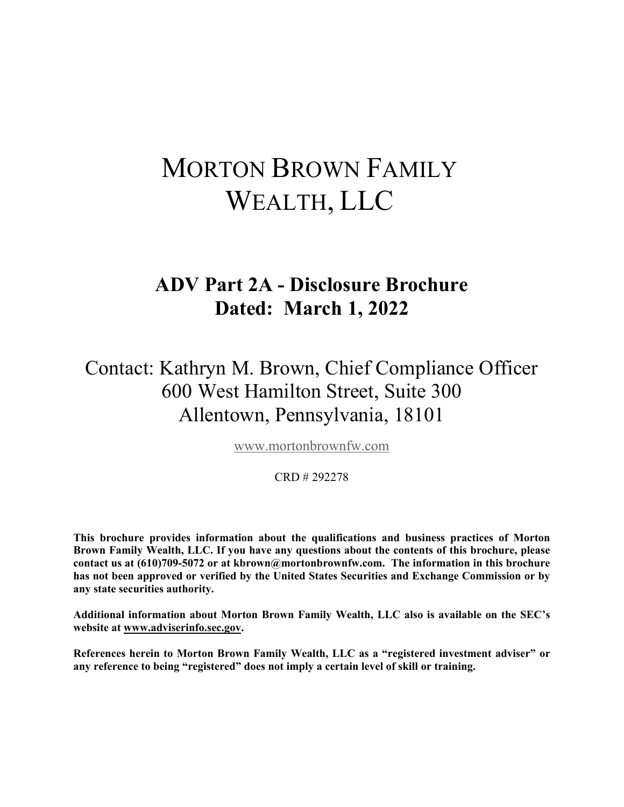# MORTON BROWN FAMILY WEALTH, LLC

# **ADV Part 2A - Disclosure Brochure Dated: March 1, 2022**

Contact: Kathryn M. Brown, Chief Compliance Officer 600 West Hamilton Street, Suite 300 Allentown, Pennsylvania, 18101

[www.mortonbrownfw.com](http://www.mortonbrownfw.com/)

#### CRD # 292278

**This brochure provides information about the qualifications and business practices of Morton Brown Family Wealth, LLC. If you have any questions about the contents of this brochure, please contact us at (610)709-5072 or at kbrown@mortonbrownfw.com. The information in this brochure has not been approved or verified by the United States Securities and Exchange Commission or by any state securities authority.**

**Additional information about Morton Brown Family Wealth, LLC also is available on the SEC's website at www.adviserinfo.sec.gov.**

**References herein to Morton Brown Family Wealth, LLC as a "registered investment adviser" or any reference to being "registered" does not imply a certain level of skill or training.**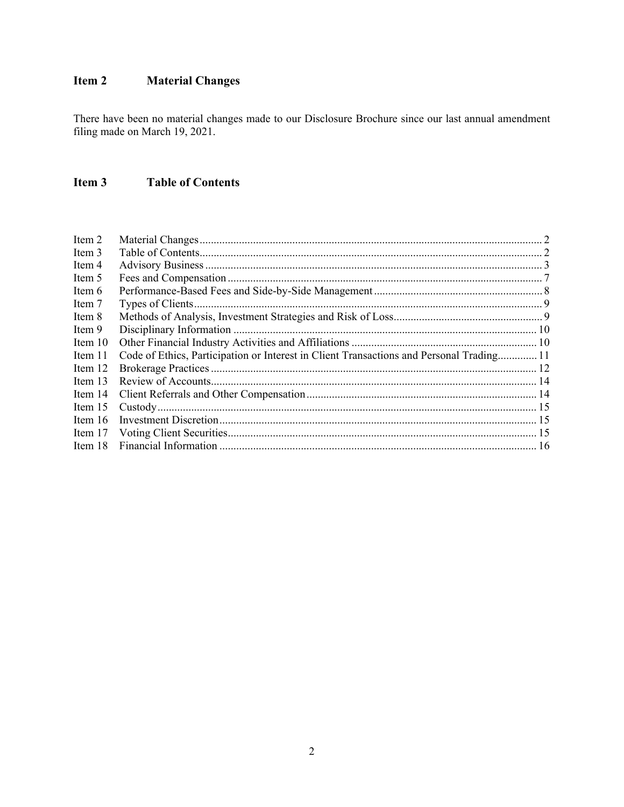#### <span id="page-3-0"></span>Item 2 **Material Changes**

There have been no material changes made to our Disclosure Brochure since our last annual amendment filing made on March 19, 2021.

#### <span id="page-3-1"></span>Item 3 **Table of Contents**

| Item 2    |                                                                                          |  |
|-----------|------------------------------------------------------------------------------------------|--|
| Item 3    |                                                                                          |  |
| Item 4    |                                                                                          |  |
| Item 5    |                                                                                          |  |
| Item 6    |                                                                                          |  |
| Item 7    |                                                                                          |  |
| Item 8    |                                                                                          |  |
| Item 9    |                                                                                          |  |
| Item 10   |                                                                                          |  |
| Item 11   | Code of Ethics, Participation or Interest in Client Transactions and Personal Trading 11 |  |
| Item 12   |                                                                                          |  |
| Item $13$ |                                                                                          |  |
| Item 14   |                                                                                          |  |
| Item $15$ |                                                                                          |  |
| Item $16$ |                                                                                          |  |
| Item 17   |                                                                                          |  |
| Item 18   |                                                                                          |  |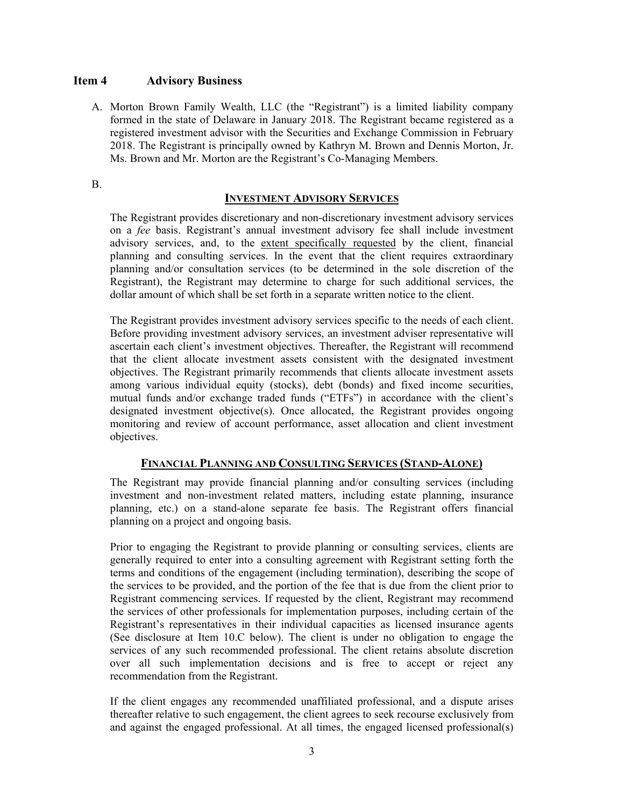#### <span id="page-4-0"></span>**Item 4 Advisory Business**

A. Morton Brown Family Wealth, LLC (the "Registrant") is a limited liability company formed in the state of Delaware in January 2018. The Registrant became registered as a registered investment advisor with the Securities and Exchange Commission in February 2018. The Registrant is principally owned by Kathryn M. Brown and Dennis Morton, Jr. Ms. Brown and Mr. Morton are the Registrant's Co-Managing Members.

B.

#### **INVESTMENT ADVISORY SERVICES**

The Registrant provides discretionary and non-discretionary investment advisory services on a *fee* basis. Registrant's annual investment advisory fee shall include investment advisory services, and, to the extent specifically requested by the client, financial planning and consulting services. In the event that the client requires extraordinary planning and/or consultation services (to be determined in the sole discretion of the Registrant), the Registrant may determine to charge for such additional services, the dollar amount of which shall be set forth in a separate written notice to the client.

The Registrant provides investment advisory services specific to the needs of each client. Before providing investment advisory services, an investment adviser representative will ascertain each client's investment objectives. Thereafter, the Registrant will recommend that the client allocate investment assets consistent with the designated investment objectives. The Registrant primarily recommends that clients allocate investment assets among various individual equity (stocks), debt (bonds) and fixed income securities, mutual funds and/or exchange traded funds ("ETFs") in accordance with the client's designated investment objective(s). Once allocated, the Registrant provides ongoing monitoring and review of account performance, asset allocation and client investment objectives.

#### **FINANCIAL PLANNING AND CONSULTING SERVICES (STAND-ALONE)**

The Registrant may provide financial planning and/or consulting services (including investment and non-investment related matters, including estate planning, insurance planning, etc.) on a stand-alone separate fee basis. The Registrant offers financial planning on a project and ongoing basis.

Prior to engaging the Registrant to provide planning or consulting services, clients are generally required to enter into a consulting agreement with Registrant setting forth the terms and conditions of the engagement (including termination), describing the scope of the services to be provided, and the portion of the fee that is due from the client prior to Registrant commencing services. If requested by the client, Registrant may recommend the services of other professionals for implementation purposes, including certain of the Registrant's representatives in their individual capacities as licensed insurance agents (See disclosure at Item 10.C below). The client is under no obligation to engage the services of any such recommended professional. The client retains absolute discretion over all such implementation decisions and is free to accept or reject any recommendation from the Registrant.

If the client engages any recommended unaffiliated professional, and a dispute arises thereafter relative to such engagement, the client agrees to seek recourse exclusively from and against the engaged professional. At all times, the engaged licensed professional(s)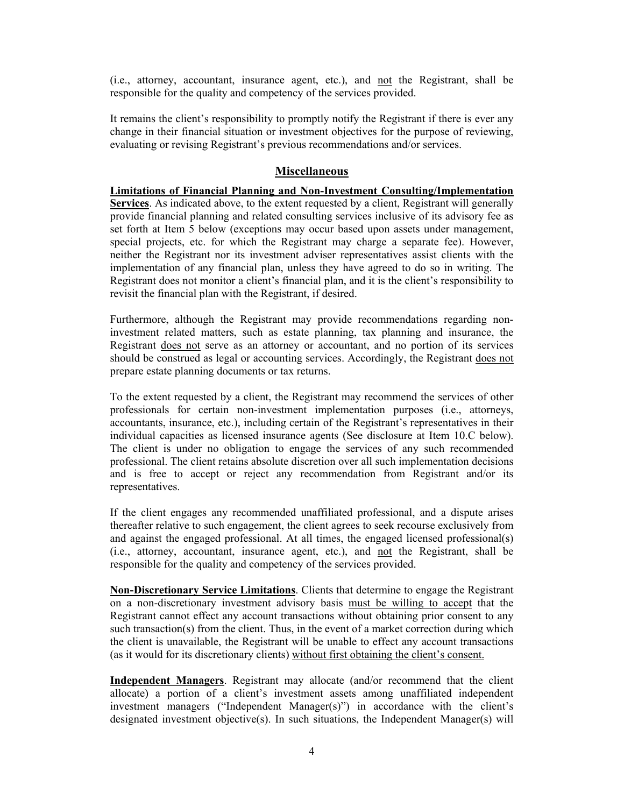(i.e., attorney, accountant, insurance agent, etc.), and not the Registrant, shall be responsible for the quality and competency of the services provided.

It remains the client's responsibility to promptly notify the Registrant if there is ever any change in their financial situation or investment objectives for the purpose of reviewing, evaluating or revising Registrant's previous recommendations and/or services.

#### **Miscellaneous**

**Limitations of Financial Planning and Non-Investment Consulting/Implementation Services**. As indicated above, to the extent requested by a client, Registrant will generally provide financial planning and related consulting services inclusive of its advisory fee as set forth at Item 5 below (exceptions may occur based upon assets under management, special projects, etc. for which the Registrant may charge a separate fee). However, neither the Registrant nor its investment adviser representatives assist clients with the implementation of any financial plan, unless they have agreed to do so in writing. The Registrant does not monitor a client's financial plan, and it is the client's responsibility to revisit the financial plan with the Registrant, if desired.

Furthermore, although the Registrant may provide recommendations regarding noninvestment related matters, such as estate planning, tax planning and insurance, the Registrant does not serve as an attorney or accountant, and no portion of its services should be construed as legal or accounting services. Accordingly, the Registrant does not prepare estate planning documents or tax returns.

To the extent requested by a client, the Registrant may recommend the services of other professionals for certain non-investment implementation purposes (i.e., attorneys, accountants, insurance, etc.), including certain of the Registrant's representatives in their individual capacities as licensed insurance agents (See disclosure at Item 10.C below). The client is under no obligation to engage the services of any such recommended professional. The client retains absolute discretion over all such implementation decisions and is free to accept or reject any recommendation from Registrant and/or its representatives.

If the client engages any recommended unaffiliated professional, and a dispute arises thereafter relative to such engagement, the client agrees to seek recourse exclusively from and against the engaged professional. At all times, the engaged licensed professional(s) (i.e., attorney, accountant, insurance agent, etc.), and not the Registrant, shall be responsible for the quality and competency of the services provided.

**Non-Discretionary Service Limitations**. Clients that determine to engage the Registrant on a non-discretionary investment advisory basis must be willing to accept that the Registrant cannot effect any account transactions without obtaining prior consent to any such transaction(s) from the client. Thus, in the event of a market correction during which the client is unavailable, the Registrant will be unable to effect any account transactions (as it would for its discretionary clients) without first obtaining the client's consent.

**Independent Managers**. Registrant may allocate (and/or recommend that the client allocate) a portion of a client's investment assets among unaffiliated independent investment managers ("Independent Manager(s)") in accordance with the client's designated investment objective(s). In such situations, the Independent Manager(s) will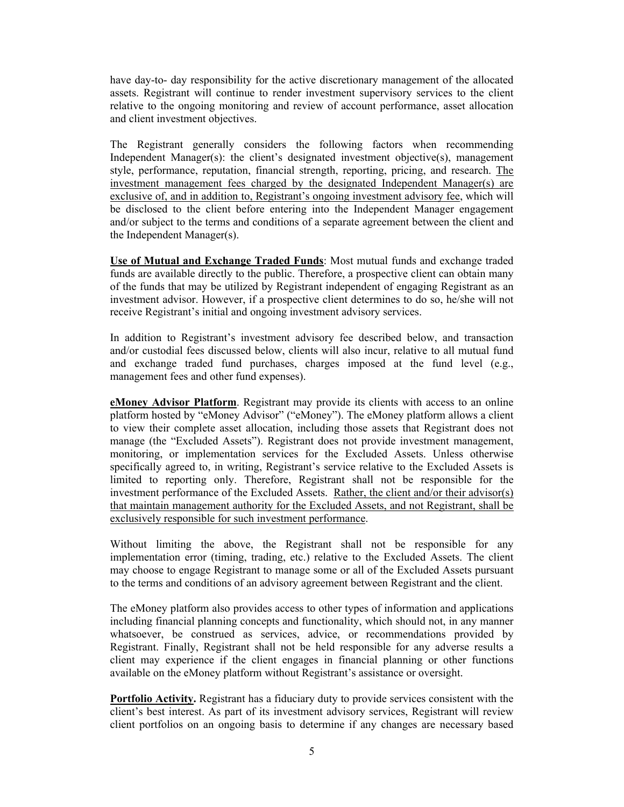have day-to- day responsibility for the active discretionary management of the allocated assets. Registrant will continue to render investment supervisory services to the client relative to the ongoing monitoring and review of account performance, asset allocation and client investment objectives.

The Registrant generally considers the following factors when recommending Independent Manager(s): the client's designated investment objective(s), management style, performance, reputation, financial strength, reporting, pricing, and research. The investment management fees charged by the designated Independent Manager(s) are exclusive of, and in addition to, Registrant's ongoing investment advisory fee, which will be disclosed to the client before entering into the Independent Manager engagement and/or subject to the terms and conditions of a separate agreement between the client and the Independent Manager(s).

**Use of Mutual and Exchange Traded Funds**: Most mutual funds and exchange traded funds are available directly to the public. Therefore, a prospective client can obtain many of the funds that may be utilized by Registrant independent of engaging Registrant as an investment advisor. However, if a prospective client determines to do so, he/she will not receive Registrant's initial and ongoing investment advisory services.

In addition to Registrant's investment advisory fee described below, and transaction and/or custodial fees discussed below, clients will also incur, relative to all mutual fund and exchange traded fund purchases, charges imposed at the fund level (e.g., management fees and other fund expenses).

**eMoney Advisor Platform**. Registrant may provide its clients with access to an online platform hosted by "eMoney Advisor" ("eMoney"). The eMoney platform allows a client to view their complete asset allocation, including those assets that Registrant does not manage (the "Excluded Assets"). Registrant does not provide investment management, monitoring, or implementation services for the Excluded Assets. Unless otherwise specifically agreed to, in writing, Registrant's service relative to the Excluded Assets is limited to reporting only. Therefore, Registrant shall not be responsible for the investment performance of the Excluded Assets. Rather, the client and/or their advisor(s) that maintain management authority for the Excluded Assets, and not Registrant, shall be exclusively responsible for such investment performance.

Without limiting the above, the Registrant shall not be responsible for any implementation error (timing, trading, etc.) relative to the Excluded Assets. The client may choose to engage Registrant to manage some or all of the Excluded Assets pursuant to the terms and conditions of an advisory agreement between Registrant and the client.

The eMoney platform also provides access to other types of information and applications including financial planning concepts and functionality, which should not, in any manner whatsoever, be construed as services, advice, or recommendations provided by Registrant. Finally, Registrant shall not be held responsible for any adverse results a client may experience if the client engages in financial planning or other functions available on the eMoney platform without Registrant's assistance or oversight.

**Portfolio Activity.** Registrant has a fiduciary duty to provide services consistent with the client's best interest. As part of its investment advisory services, Registrant will review client portfolios on an ongoing basis to determine if any changes are necessary based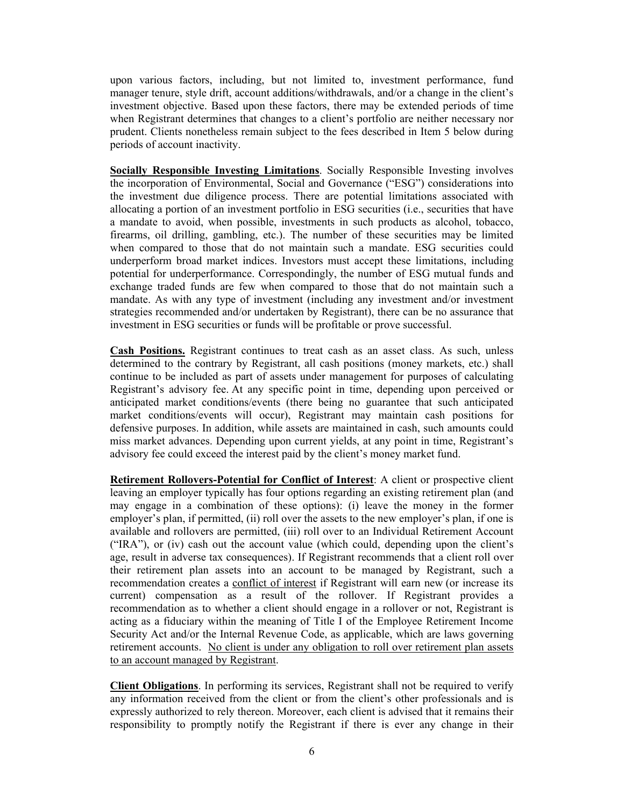upon various factors, including, but not limited to, investment performance, fund manager tenure, style drift, account additions/withdrawals, and/or a change in the client's investment objective. Based upon these factors, there may be extended periods of time when Registrant determines that changes to a client's portfolio are neither necessary nor prudent. Clients nonetheless remain subject to the fees described in Item 5 below during periods of account inactivity.

**Socially Responsible Investing Limitations**. Socially Responsible Investing involves the incorporation of Environmental, Social and Governance ("ESG") considerations into the investment due diligence process. There are potential limitations associated with allocating a portion of an investment portfolio in ESG securities (i.e., securities that have a mandate to avoid, when possible, investments in such products as alcohol, tobacco, firearms, oil drilling, gambling, etc.). The number of these securities may be limited when compared to those that do not maintain such a mandate. ESG securities could underperform broad market indices. Investors must accept these limitations, including potential for underperformance. Correspondingly, the number of ESG mutual funds and exchange traded funds are few when compared to those that do not maintain such a mandate. As with any type of investment (including any investment and/or investment strategies recommended and/or undertaken by Registrant), there can be no assurance that investment in ESG securities or funds will be profitable or prove successful.

**Cash Positions.** Registrant continues to treat cash as an asset class. As such, unless determined to the contrary by Registrant, all cash positions (money markets, etc.) shall continue to be included as part of assets under management for purposes of calculating Registrant's advisory fee. At any specific point in time, depending upon perceived or anticipated market conditions/events (there being no guarantee that such anticipated market conditions/events will occur), Registrant may maintain cash positions for defensive purposes. In addition, while assets are maintained in cash, such amounts could miss market advances. Depending upon current yields, at any point in time, Registrant's advisory fee could exceed the interest paid by the client's money market fund.

**Retirement Rollovers-Potential for Conflict of Interest**: A client or prospective client leaving an employer typically has four options regarding an existing retirement plan (and may engage in a combination of these options): (i) leave the money in the former employer's plan, if permitted, (ii) roll over the assets to the new employer's plan, if one is available and rollovers are permitted, (iii) roll over to an Individual Retirement Account ("IRA"), or (iv) cash out the account value (which could, depending upon the client's age, result in adverse tax consequences). If Registrant recommends that a client roll over their retirement plan assets into an account to be managed by Registrant, such a recommendation creates a conflict of interest if Registrant will earn new (or increase its current) compensation as a result of the rollover. If Registrant provides a recommendation as to whether a client should engage in a rollover or not, Registrant is acting as a fiduciary within the meaning of Title I of the Employee Retirement Income Security Act and/or the Internal Revenue Code, as applicable, which are laws governing retirement accounts. No client is under any obligation to roll over retirement plan assets to an account managed by Registrant.

**Client Obligations**. In performing its services, Registrant shall not be required to verify any information received from the client or from the client's other professionals and is expressly authorized to rely thereon. Moreover, each client is advised that it remains their responsibility to promptly notify the Registrant if there is ever any change in their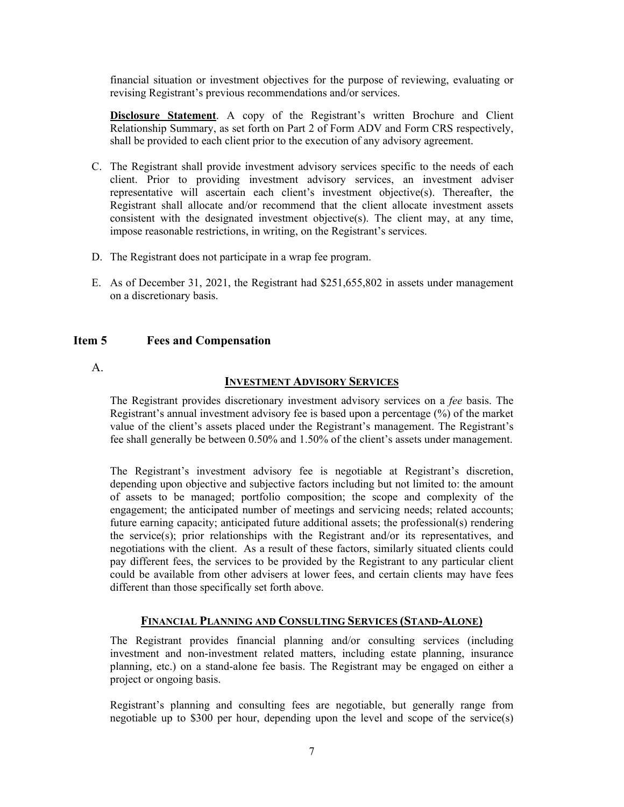financial situation or investment objectives for the purpose of reviewing, evaluating or revising Registrant's previous recommendations and/or services.

**Disclosure Statement**. A copy of the Registrant's written Brochure and Client Relationship Summary, as set forth on Part 2 of Form ADV and Form CRS respectively, shall be provided to each client prior to the execution of any advisory agreement.

- C. The Registrant shall provide investment advisory services specific to the needs of each client. Prior to providing investment advisory services, an investment adviser representative will ascertain each client's investment objective(s). Thereafter, the Registrant shall allocate and/or recommend that the client allocate investment assets consistent with the designated investment objective(s). The client may, at any time, impose reasonable restrictions, in writing, on the Registrant's services.
- D. The Registrant does not participate in a wrap fee program.
- E. As of December 31, 2021, the Registrant had \$251,655,802 in assets under management on a discretionary basis.

#### <span id="page-8-0"></span>**Item 5 Fees and Compensation**

A.

#### **INVESTMENT ADVISORY SERVICES**

The Registrant provides discretionary investment advisory services on a *fee* basis. The Registrant's annual investment advisory fee is based upon a percentage (%) of the market value of the client's assets placed under the Registrant's management. The Registrant's fee shall generally be between 0.50% and 1.50% of the client's assets under management.

The Registrant's investment advisory fee is negotiable at Registrant's discretion, depending upon objective and subjective factors including but not limited to: the amount of assets to be managed; portfolio composition; the scope and complexity of the engagement; the anticipated number of meetings and servicing needs; related accounts; future earning capacity; anticipated future additional assets; the professional(s) rendering the service(s); prior relationships with the Registrant and/or its representatives, and negotiations with the client. As a result of these factors, similarly situated clients could pay different fees, the services to be provided by the Registrant to any particular client could be available from other advisers at lower fees, and certain clients may have fees different than those specifically set forth above.

#### **FINANCIAL PLANNING AND CONSULTING SERVICES (STAND-ALONE)**

The Registrant provides financial planning and/or consulting services (including investment and non-investment related matters, including estate planning, insurance planning, etc.) on a stand-alone fee basis. The Registrant may be engaged on either a project or ongoing basis.

Registrant's planning and consulting fees are negotiable, but generally range from negotiable up to \$300 per hour, depending upon the level and scope of the service(s)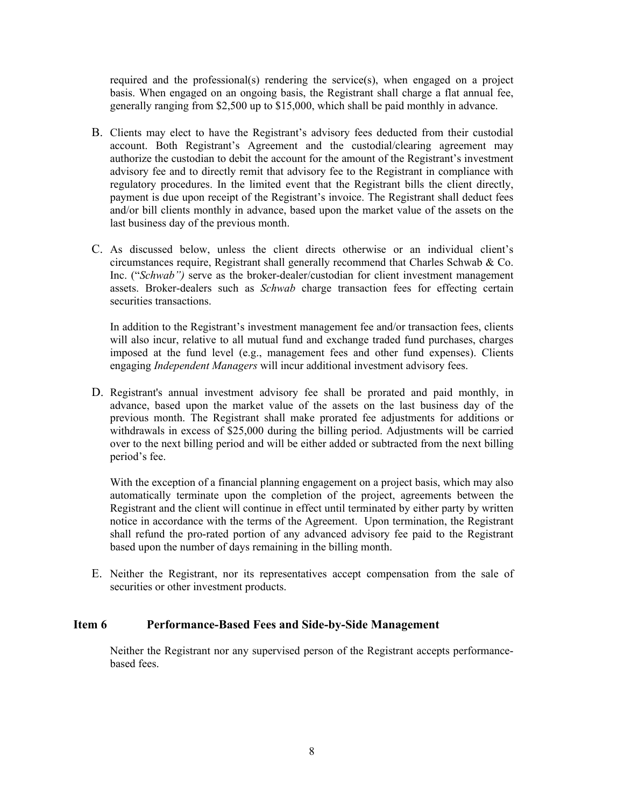required and the professional(s) rendering the service(s), when engaged on a project basis. When engaged on an ongoing basis, the Registrant shall charge a flat annual fee, generally ranging from \$2,500 up to \$15,000, which shall be paid monthly in advance.

- B. Clients may elect to have the Registrant's advisory fees deducted from their custodial account. Both Registrant's Agreement and the custodial/clearing agreement may authorize the custodian to debit the account for the amount of the Registrant's investment advisory fee and to directly remit that advisory fee to the Registrant in compliance with regulatory procedures. In the limited event that the Registrant bills the client directly, payment is due upon receipt of the Registrant's invoice. The Registrant shall deduct fees and/or bill clients monthly in advance, based upon the market value of the assets on the last business day of the previous month.
- C. As discussed below, unless the client directs otherwise or an individual client's circumstances require, Registrant shall generally recommend that Charles Schwab & Co. Inc. ("*Schwab")* serve as the broker-dealer/custodian for client investment management assets. Broker-dealers such as *Schwab* charge transaction fees for effecting certain securities transactions.

In addition to the Registrant's investment management fee and/or transaction fees, clients will also incur, relative to all mutual fund and exchange traded fund purchases, charges imposed at the fund level (e.g., management fees and other fund expenses). Clients engaging *Independent Managers* will incur additional investment advisory fees.

D. Registrant's annual investment advisory fee shall be prorated and paid monthly, in advance, based upon the market value of the assets on the last business day of the previous month. The Registrant shall make prorated fee adjustments for additions or withdrawals in excess of \$25,000 during the billing period. Adjustments will be carried over to the next billing period and will be either added or subtracted from the next billing period's fee.

With the exception of a financial planning engagement on a project basis, which may also automatically terminate upon the completion of the project, agreements between the Registrant and the client will continue in effect until terminated by either party by written notice in accordance with the terms of the Agreement. Upon termination, the Registrant shall refund the pro-rated portion of any advanced advisory fee paid to the Registrant based upon the number of days remaining in the billing month.

E. Neither the Registrant, nor its representatives accept compensation from the sale of securities or other investment products.

#### <span id="page-9-0"></span>**Item 6 Performance-Based Fees and Side-by-Side Management**

Neither the Registrant nor any supervised person of the Registrant accepts performancebased fees.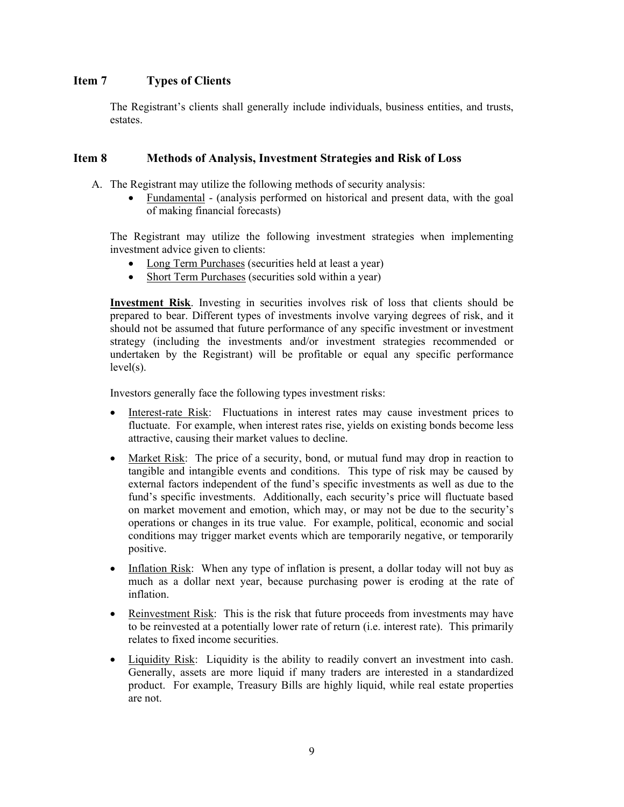#### <span id="page-10-0"></span>**Item 7 Types of Clients**

The Registrant's clients shall generally include individuals, business entities, and trusts, estates.

#### <span id="page-10-1"></span>**Item 8 Methods of Analysis, Investment Strategies and Risk of Loss**

- A. The Registrant may utilize the following methods of security analysis:
	- Fundamental (analysis performed on historical and present data, with the goal of making financial forecasts)

The Registrant may utilize the following investment strategies when implementing investment advice given to clients:

- Long Term Purchases (securities held at least a year)
- Short Term Purchases (securities sold within a year)

**Investment Risk**. Investing in securities involves risk of loss that clients should be prepared to bear. Different types of investments involve varying degrees of risk, and it should not be assumed that future performance of any specific investment or investment strategy (including the investments and/or investment strategies recommended or undertaken by the Registrant) will be profitable or equal any specific performance level(s).

Investors generally face the following types investment risks:

- Interest-rate Risk: Fluctuations in interest rates may cause investment prices to fluctuate. For example, when interest rates rise, yields on existing bonds become less attractive, causing their market values to decline.
- Market Risk: The price of a security, bond, or mutual fund may drop in reaction to tangible and intangible events and conditions. This type of risk may be caused by external factors independent of the fund's specific investments as well as due to the fund's specific investments. Additionally, each security's price will fluctuate based on market movement and emotion, which may, or may not be due to the security's operations or changes in its true value. For example, political, economic and social conditions may trigger market events which are temporarily negative, or temporarily positive.
- Inflation Risk: When any type of inflation is present, a dollar today will not buy as much as a dollar next year, because purchasing power is eroding at the rate of inflation.
- Reinvestment Risk: This is the risk that future proceeds from investments may have to be reinvested at a potentially lower rate of return (i.e. interest rate). This primarily relates to fixed income securities.
- Liquidity Risk: Liquidity is the ability to readily convert an investment into cash. Generally, assets are more liquid if many traders are interested in a standardized product. For example, Treasury Bills are highly liquid, while real estate properties are not.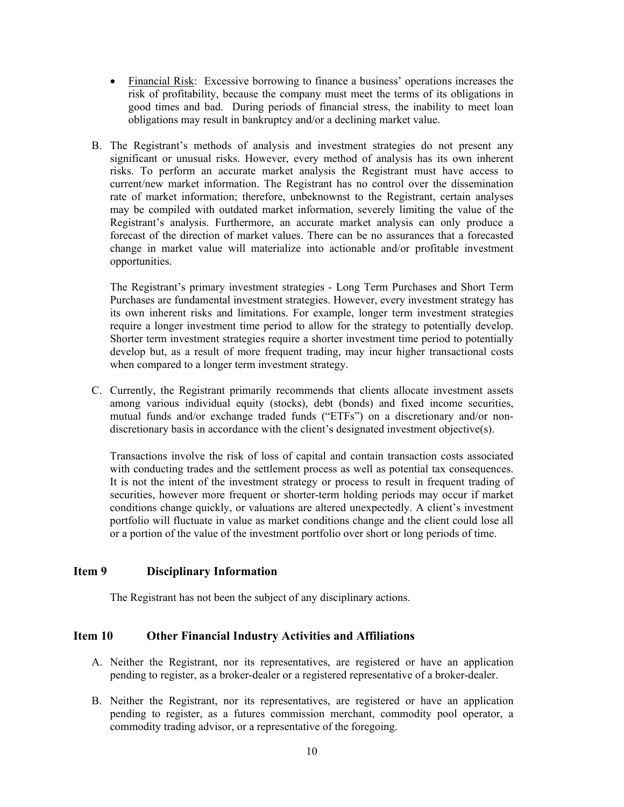- Financial Risk: Excessive borrowing to finance a business' operations increases the risk of profitability, because the company must meet the terms of its obligations in good times and bad. During periods of financial stress, the inability to meet loan obligations may result in bankruptcy and/or a declining market value.
- B. The Registrant's methods of analysis and investment strategies do not present any significant or unusual risks. However, every method of analysis has its own inherent risks. To perform an accurate market analysis the Registrant must have access to current/new market information. The Registrant has no control over the dissemination rate of market information; therefore, unbeknownst to the Registrant, certain analyses may be compiled with outdated market information, severely limiting the value of the Registrant's analysis. Furthermore, an accurate market analysis can only produce a forecast of the direction of market values. There can be no assurances that a forecasted change in market value will materialize into actionable and/or profitable investment opportunities.

The Registrant's primary investment strategies - Long Term Purchases and Short Term Purchases are fundamental investment strategies. However, every investment strategy has its own inherent risks and limitations. For example, longer term investment strategies require a longer investment time period to allow for the strategy to potentially develop. Shorter term investment strategies require a shorter investment time period to potentially develop but, as a result of more frequent trading, may incur higher transactional costs when compared to a longer term investment strategy.

C. Currently, the Registrant primarily recommends that clients allocate investment assets among various individual equity (stocks), debt (bonds) and fixed income securities, mutual funds and/or exchange traded funds ("ETFs") on a discretionary and/or nondiscretionary basis in accordance with the client's designated investment objective(s).

Transactions involve the risk of loss of capital and contain transaction costs associated with conducting trades and the settlement process as well as potential tax consequences. It is not the intent of the investment strategy or process to result in frequent trading of securities, however more frequent or shorter-term holding periods may occur if market conditions change quickly, or valuations are altered unexpectedly. A client's investment portfolio will fluctuate in value as market conditions change and the client could lose all or a portion of the value of the investment portfolio over short or long periods of time.

#### <span id="page-11-0"></span>**Item 9 Disciplinary Information**

The Registrant has not been the subject of any disciplinary actions.

#### <span id="page-11-1"></span>**Item 10 Other Financial Industry Activities and Affiliations**

- A. Neither the Registrant, nor its representatives, are registered or have an application pending to register, as a broker-dealer or a registered representative of a broker-dealer.
- B. Neither the Registrant, nor its representatives, are registered or have an application pending to register, as a futures commission merchant, commodity pool operator, a commodity trading advisor, or a representative of the foregoing.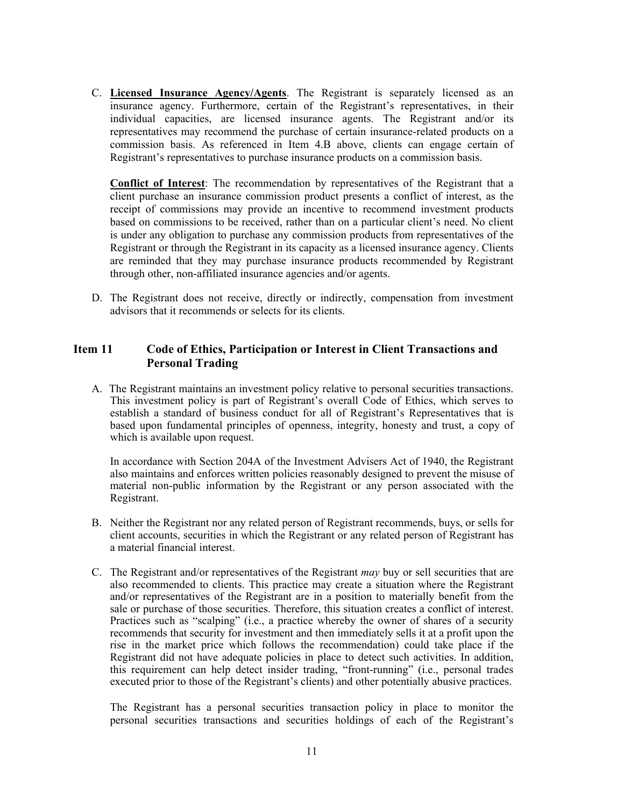C. **Licensed Insurance Agency/Agents**. The Registrant is separately licensed as an insurance agency. Furthermore, certain of the Registrant's representatives, in their individual capacities, are licensed insurance agents. The Registrant and/or its representatives may recommend the purchase of certain insurance-related products on a commission basis. As referenced in Item 4.B above, clients can engage certain of Registrant's representatives to purchase insurance products on a commission basis.

**Conflict of Interest**: The recommendation by representatives of the Registrant that a client purchase an insurance commission product presents a conflict of interest, as the receipt of commissions may provide an incentive to recommend investment products based on commissions to be received, rather than on a particular client's need. No client is under any obligation to purchase any commission products from representatives of the Registrant or through the Registrant in its capacity as a licensed insurance agency. Clients are reminded that they may purchase insurance products recommended by Registrant through other, non-affiliated insurance agencies and/or agents.

D. The Registrant does not receive, directly or indirectly, compensation from investment advisors that it recommends or selects for its clients.

#### <span id="page-12-0"></span>**Item 11 Code of Ethics, Participation or Interest in Client Transactions and Personal Trading**

A. The Registrant maintains an investment policy relative to personal securities transactions. This investment policy is part of Registrant's overall Code of Ethics, which serves to establish a standard of business conduct for all of Registrant's Representatives that is based upon fundamental principles of openness, integrity, honesty and trust, a copy of which is available upon request.

In accordance with Section 204A of the Investment Advisers Act of 1940, the Registrant also maintains and enforces written policies reasonably designed to prevent the misuse of material non-public information by the Registrant or any person associated with the Registrant.

- B. Neither the Registrant nor any related person of Registrant recommends, buys, or sells for client accounts, securities in which the Registrant or any related person of Registrant has a material financial interest.
- C. The Registrant and/or representatives of the Registrant *may* buy or sell securities that are also recommended to clients. This practice may create a situation where the Registrant and/or representatives of the Registrant are in a position to materially benefit from the sale or purchase of those securities. Therefore, this situation creates a conflict of interest. Practices such as "scalping" (i.e., a practice whereby the owner of shares of a security recommends that security for investment and then immediately sells it at a profit upon the rise in the market price which follows the recommendation) could take place if the Registrant did not have adequate policies in place to detect such activities. In addition, this requirement can help detect insider trading, "front-running" (i.e., personal trades executed prior to those of the Registrant's clients) and other potentially abusive practices.

The Registrant has a personal securities transaction policy in place to monitor the personal securities transactions and securities holdings of each of the Registrant's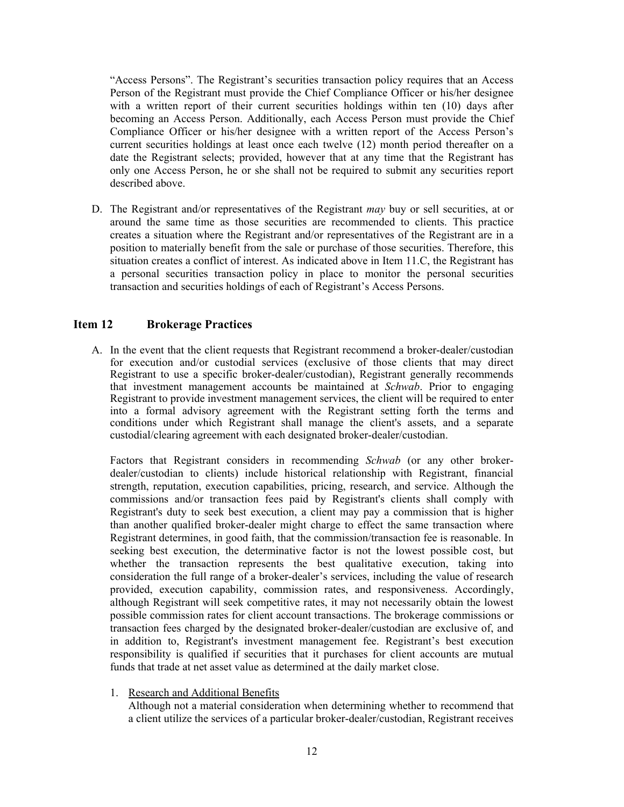"Access Persons". The Registrant's securities transaction policy requires that an Access Person of the Registrant must provide the Chief Compliance Officer or his/her designee with a written report of their current securities holdings within ten (10) days after becoming an Access Person. Additionally, each Access Person must provide the Chief Compliance Officer or his/her designee with a written report of the Access Person's current securities holdings at least once each twelve (12) month period thereafter on a date the Registrant selects; provided, however that at any time that the Registrant has only one Access Person, he or she shall not be required to submit any securities report described above.

D. The Registrant and/or representatives of the Registrant *may* buy or sell securities, at or around the same time as those securities are recommended to clients. This practice creates a situation where the Registrant and/or representatives of the Registrant are in a position to materially benefit from the sale or purchase of those securities. Therefore, this situation creates a conflict of interest. As indicated above in Item 11.C, the Registrant has a personal securities transaction policy in place to monitor the personal securities transaction and securities holdings of each of Registrant's Access Persons.

#### <span id="page-13-0"></span>**Item 12 Brokerage Practices**

A. In the event that the client requests that Registrant recommend a broker-dealer/custodian for execution and/or custodial services (exclusive of those clients that may direct Registrant to use a specific broker-dealer/custodian), Registrant generally recommends that investment management accounts be maintained at *Schwab*. Prior to engaging Registrant to provide investment management services, the client will be required to enter into a formal advisory agreement with the Registrant setting forth the terms and conditions under which Registrant shall manage the client's assets, and a separate custodial/clearing agreement with each designated broker-dealer/custodian.

Factors that Registrant considers in recommending *Schwab* (or any other brokerdealer/custodian to clients) include historical relationship with Registrant, financial strength, reputation, execution capabilities, pricing, research, and service. Although the commissions and/or transaction fees paid by Registrant's clients shall comply with Registrant's duty to seek best execution, a client may pay a commission that is higher than another qualified broker-dealer might charge to effect the same transaction where Registrant determines, in good faith, that the commission/transaction fee is reasonable. In seeking best execution, the determinative factor is not the lowest possible cost, but whether the transaction represents the best qualitative execution, taking into consideration the full range of a broker-dealer's services, including the value of research provided, execution capability, commission rates, and responsiveness. Accordingly, although Registrant will seek competitive rates, it may not necessarily obtain the lowest possible commission rates for client account transactions. The brokerage commissions or transaction fees charged by the designated broker-dealer/custodian are exclusive of, and in addition to, Registrant's investment management fee. Registrant's best execution responsibility is qualified if securities that it purchases for client accounts are mutual funds that trade at net asset value as determined at the daily market close.

1. Research and Additional Benefits

Although not a material consideration when determining whether to recommend that a client utilize the services of a particular broker-dealer/custodian, Registrant receives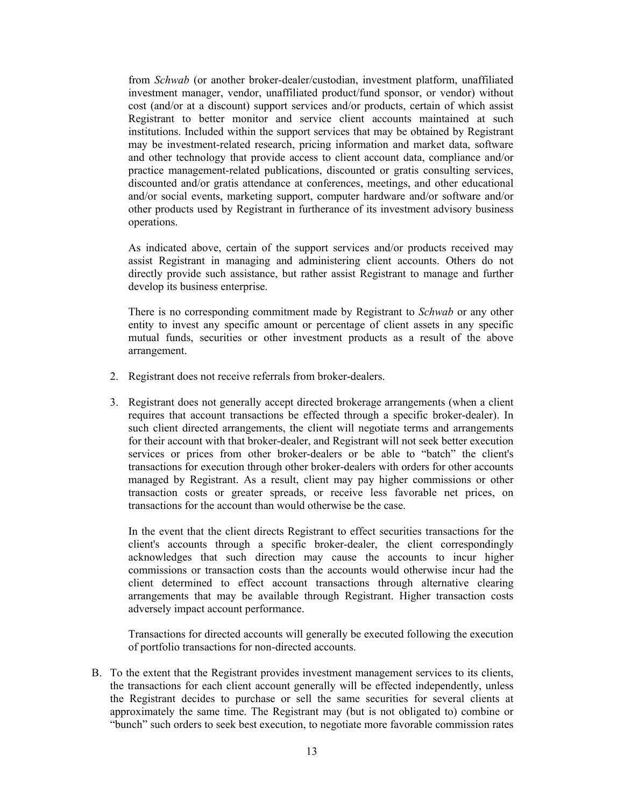from *Schwab* (or another broker-dealer/custodian, investment platform, unaffiliated investment manager, vendor, unaffiliated product/fund sponsor, or vendor) without cost (and/or at a discount) support services and/or products, certain of which assist Registrant to better monitor and service client accounts maintained at such institutions. Included within the support services that may be obtained by Registrant may be investment-related research, pricing information and market data, software and other technology that provide access to client account data, compliance and/or practice management-related publications, discounted or gratis consulting services, discounted and/or gratis attendance at conferences, meetings, and other educational and/or social events, marketing support, computer hardware and/or software and/or other products used by Registrant in furtherance of its investment advisory business operations.

As indicated above, certain of the support services and/or products received may assist Registrant in managing and administering client accounts. Others do not directly provide such assistance, but rather assist Registrant to manage and further develop its business enterprise.

There is no corresponding commitment made by Registrant to *Schwab* or any other entity to invest any specific amount or percentage of client assets in any specific mutual funds, securities or other investment products as a result of the above arrangement.

- 2. Registrant does not receive referrals from broker-dealers.
- 3. Registrant does not generally accept directed brokerage arrangements (when a client requires that account transactions be effected through a specific broker-dealer). In such client directed arrangements, the client will negotiate terms and arrangements for their account with that broker-dealer, and Registrant will not seek better execution services or prices from other broker-dealers or be able to "batch" the client's transactions for execution through other broker-dealers with orders for other accounts managed by Registrant. As a result, client may pay higher commissions or other transaction costs or greater spreads, or receive less favorable net prices, on transactions for the account than would otherwise be the case.

In the event that the client directs Registrant to effect securities transactions for the client's accounts through a specific broker-dealer, the client correspondingly acknowledges that such direction may cause the accounts to incur higher commissions or transaction costs than the accounts would otherwise incur had the client determined to effect account transactions through alternative clearing arrangements that may be available through Registrant. Higher transaction costs adversely impact account performance.

Transactions for directed accounts will generally be executed following the execution of portfolio transactions for non-directed accounts.

B. To the extent that the Registrant provides investment management services to its clients, the transactions for each client account generally will be effected independently, unless the Registrant decides to purchase or sell the same securities for several clients at approximately the same time. The Registrant may (but is not obligated to) combine or "bunch" such orders to seek best execution, to negotiate more favorable commission rates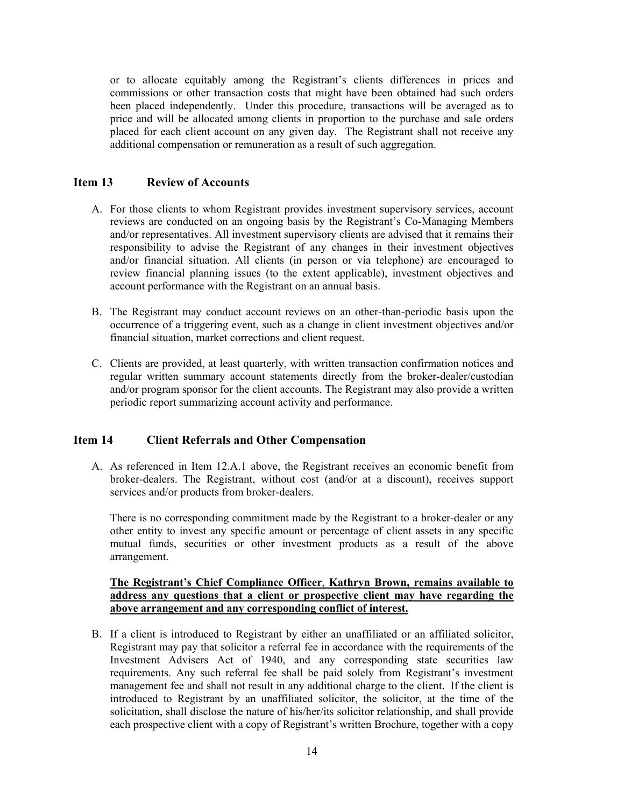or to allocate equitably among the Registrant's clients differences in prices and commissions or other transaction costs that might have been obtained had such orders been placed independently. Under this procedure, transactions will be averaged as to price and will be allocated among clients in proportion to the purchase and sale orders placed for each client account on any given day. The Registrant shall not receive any additional compensation or remuneration as a result of such aggregation.

#### <span id="page-15-0"></span>**Item 13 Review of Accounts**

- A. For those clients to whom Registrant provides investment supervisory services, account reviews are conducted on an ongoing basis by the Registrant's Co-Managing Members and/or representatives. All investment supervisory clients are advised that it remains their responsibility to advise the Registrant of any changes in their investment objectives and/or financial situation. All clients (in person or via telephone) are encouraged to review financial planning issues (to the extent applicable), investment objectives and account performance with the Registrant on an annual basis.
- B. The Registrant may conduct account reviews on an other-than-periodic basis upon the occurrence of a triggering event, such as a change in client investment objectives and/or financial situation, market corrections and client request.
- C. Clients are provided, at least quarterly, with written transaction confirmation notices and regular written summary account statements directly from the broker-dealer/custodian and/or program sponsor for the client accounts. The Registrant may also provide a written periodic report summarizing account activity and performance.

#### <span id="page-15-1"></span>**Item 14 Client Referrals and Other Compensation**

A. As referenced in Item 12.A.1 above, the Registrant receives an economic benefit from broker-dealers. The Registrant, without cost (and/or at a discount), receives support services and/or products from broker-dealers.

There is no corresponding commitment made by the Registrant to a broker-dealer or any other entity to invest any specific amount or percentage of client assets in any specific mutual funds, securities or other investment products as a result of the above arrangement.

#### **The Registrant's Chief Compliance Officer**, **Kathryn Brown, remains available to address any questions that a client or prospective client may have regarding the above arrangement and any corresponding conflict of interest.**

B. If a client is introduced to Registrant by either an unaffiliated or an affiliated solicitor, Registrant may pay that solicitor a referral fee in accordance with the requirements of the Investment Advisers Act of 1940, and any corresponding state securities law requirements. Any such referral fee shall be paid solely from Registrant's investment management fee and shall not result in any additional charge to the client. If the client is introduced to Registrant by an unaffiliated solicitor, the solicitor, at the time of the solicitation, shall disclose the nature of his/her/its solicitor relationship, and shall provide each prospective client with a copy of Registrant's written Brochure, together with a copy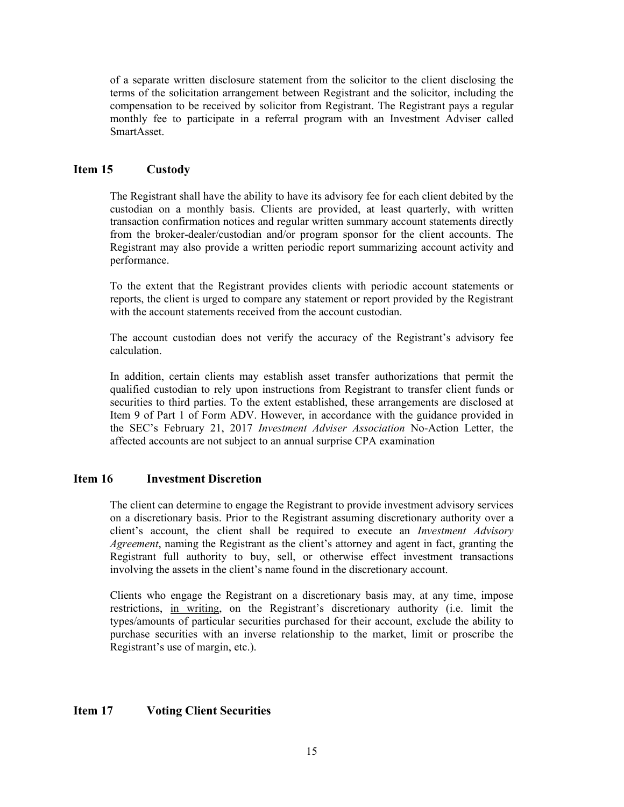of a separate written disclosure statement from the solicitor to the client disclosing the terms of the solicitation arrangement between Registrant and the solicitor, including the compensation to be received by solicitor from Registrant. The Registrant pays a regular monthly fee to participate in a referral program with an Investment Adviser called SmartAsset.

#### <span id="page-16-0"></span>**Item 15 Custody**

The Registrant shall have the ability to have its advisory fee for each client debited by the custodian on a monthly basis. Clients are provided, at least quarterly, with written transaction confirmation notices and regular written summary account statements directly from the broker-dealer/custodian and/or program sponsor for the client accounts. The Registrant may also provide a written periodic report summarizing account activity and performance.

To the extent that the Registrant provides clients with periodic account statements or reports, the client is urged to compare any statement or report provided by the Registrant with the account statements received from the account custodian.

The account custodian does not verify the accuracy of the Registrant's advisory fee calculation.

In addition, certain clients may establish asset transfer authorizations that permit the qualified custodian to rely upon instructions from Registrant to transfer client funds or securities to third parties. To the extent established, these arrangements are disclosed at Item 9 of Part 1 of Form ADV. However, in accordance with the guidance provided in the SEC's February 21, 2017 *Investment Adviser Association* No-Action Letter, the affected accounts are not subject to an annual surprise CPA examination

#### <span id="page-16-1"></span>**Item 16 Investment Discretion**

The client can determine to engage the Registrant to provide investment advisory services on a discretionary basis. Prior to the Registrant assuming discretionary authority over a client's account, the client shall be required to execute an *Investment Advisory Agreement*, naming the Registrant as the client's attorney and agent in fact, granting the Registrant full authority to buy, sell, or otherwise effect investment transactions involving the assets in the client's name found in the discretionary account.

Clients who engage the Registrant on a discretionary basis may, at any time, impose restrictions, in writing, on the Registrant's discretionary authority (i.e. limit the types/amounts of particular securities purchased for their account, exclude the ability to purchase securities with an inverse relationship to the market, limit or proscribe the Registrant's use of margin, etc.).

#### <span id="page-16-2"></span>**Item 17 Voting Client Securities**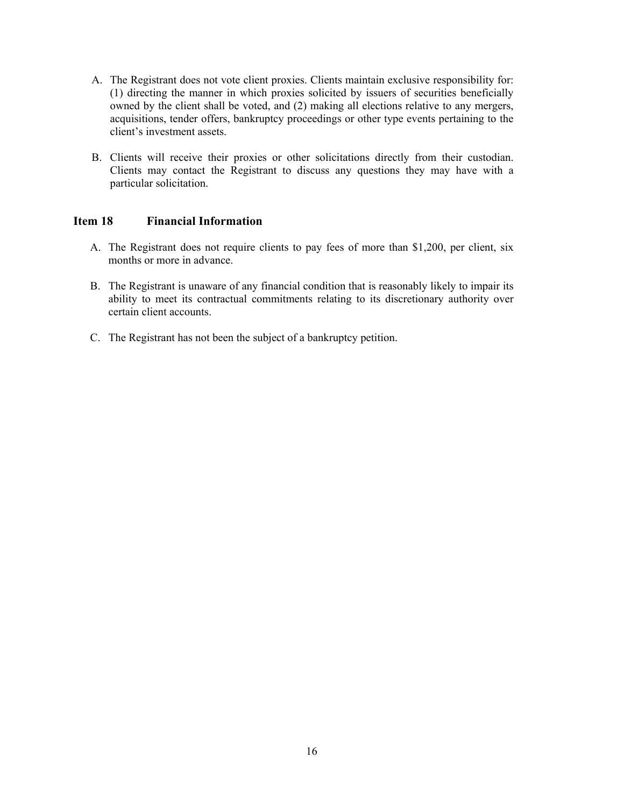- A. The Registrant does not vote client proxies. Clients maintain exclusive responsibility for: (1) directing the manner in which proxies solicited by issuers of securities beneficially owned by the client shall be voted, and (2) making all elections relative to any mergers, acquisitions, tender offers, bankruptcy proceedings or other type events pertaining to the client's investment assets.
- B. Clients will receive their proxies or other solicitations directly from their custodian. Clients may contact the Registrant to discuss any questions they may have with a particular solicitation.

#### <span id="page-17-0"></span>**Item 18 Financial Information**

- A. The Registrant does not require clients to pay fees of more than \$1,200, per client, six months or more in advance.
- B. The Registrant is unaware of any financial condition that is reasonably likely to impair its ability to meet its contractual commitments relating to its discretionary authority over certain client accounts.
- C. The Registrant has not been the subject of a bankruptcy petition.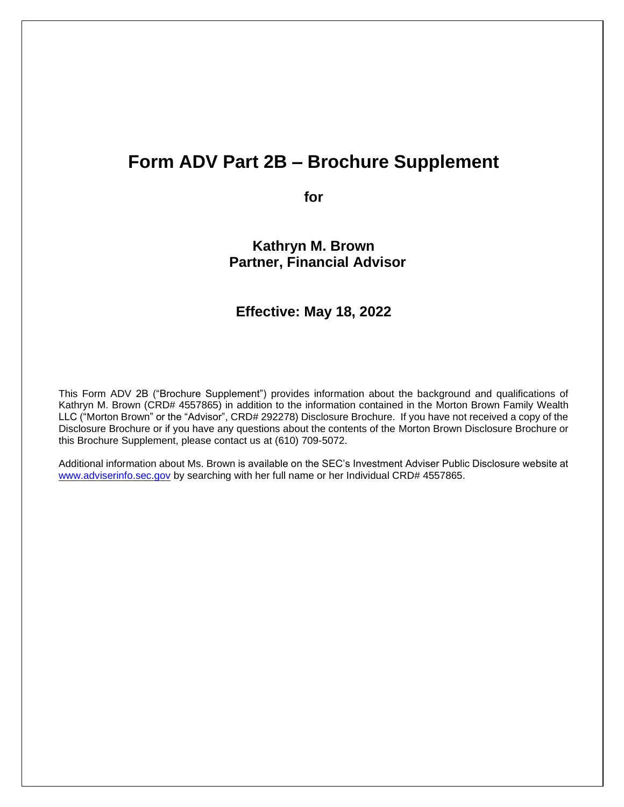### **Form ADV Part 2B – Brochure Supplement**

**for**

**Kathryn M. Brown Partner, Financial Advisor**

### **Effective: May 18, 2022**

This Form ADV 2B ("Brochure Supplement") provides information about the background and qualifications of Kathryn M. Brown (CRD# 4557865) in addition to the information contained in the Morton Brown Family Wealth LLC ("Morton Brown" or the "Advisor", CRD# 292278) Disclosure Brochure. If you have not received a copy of the Disclosure Brochure or if you have any questions about the contents of the Morton Brown Disclosure Brochure or this Brochure Supplement, please contact us at (610) 709-5072.

Additional information about Ms. Brown is available on the SEC's Investment Adviser Public Disclosure website at [www.adviserinfo.sec.gov](http://www.adviserinfo.sec.gov/) by searching with her full name or her Individual CRD# 4557865.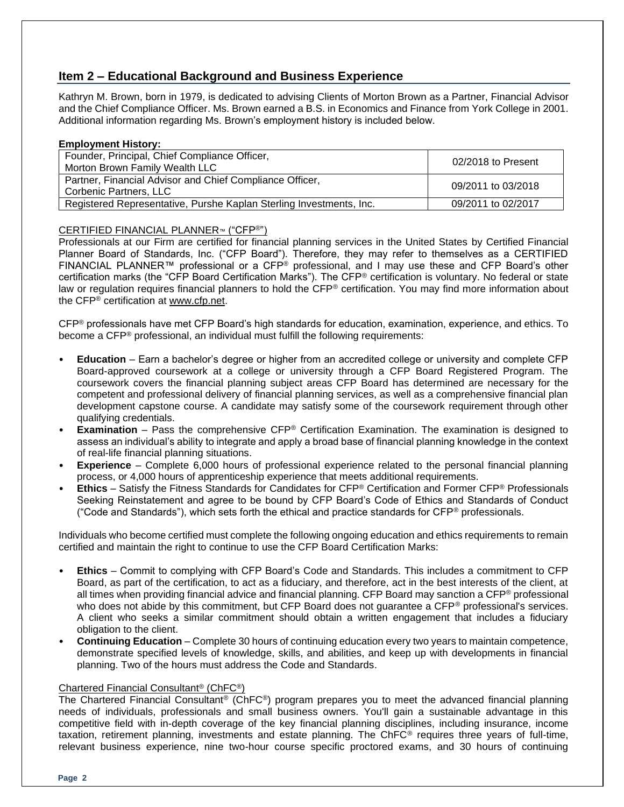#### **Item 2 – Educational Background and Business Experience**

Kathryn M. Brown, born in 1979, is dedicated to advising Clients of Morton Brown as a Partner, Financial Advisor and the Chief Compliance Officer. Ms. Brown earned a B.S. in Economics and Finance from York College in 2001. Additional information regarding Ms. Brown's employment history is included below.

#### **Employment History:**

| Founder, Principal, Chief Compliance Officer,<br>Morton Brown Family Wealth LLC    | 02/2018 to Present |
|------------------------------------------------------------------------------------|--------------------|
| Partner, Financial Advisor and Chief Compliance Officer,<br>Corbenic Partners, LLC | 09/2011 to 03/2018 |
| Registered Representative, Purshe Kaplan Sterling Investments, Inc.                | 09/2011 to 02/2017 |

#### CERTIFIED FINANCIAL PLANNER™ ("CFP®")

Professionals at our Firm are certified for financial planning services in the United States by Certified Financial Planner Board of Standards, Inc. ("CFP Board"). Therefore, they may refer to themselves as a CERTIFIED FINANCIAL PLANNER™ professional or a CFP<sup>®</sup> professional, and I may use these and CFP Board's other certification marks (the "CFP Board Certification Marks"). The CFP® certification is voluntary. No federal or state law or regulation requires financial planners to hold the CFP® certification. You may find more information about the CFP® certification at [www.cfp.net.](https://protect-us.mimecast.com/s/1HBOCqxoRqf1V6k3tXIH3k?domain=nam04.safelinks.protection.outlook.com)

CFP® professionals have met CFP Board's high standards for education, examination, experience, and ethics. To become a CFP® professional, an individual must fulfill the following requirements:

- **Education** Earn a bachelor's degree or higher from an accredited college or university and complete CFP Board-approved coursework at a college or university through a CFP Board Registered Program. The coursework covers the financial planning subject areas CFP Board has determined are necessary for the competent and professional delivery of financial planning services, as well as a comprehensive financial plan development capstone course. A candidate may satisfy some of the coursework requirement through other qualifying credentials.
- **Examination** Pass the comprehensive CFP<sup>®</sup> Certification Examination. The examination is designed to assess an individual's ability to integrate and apply a broad base of financial planning knowledge in the context of real-life financial planning situations.
- **Experience**  Complete 6,000 hours of professional experience related to the personal financial planning process, or 4,000 hours of apprenticeship experience that meets additional requirements.
- **Ethics** Satisfy the Fitness Standards for Candidates for CFP® Certification and Former CFP® Professionals Seeking Reinstatement and agree to be bound by CFP Board's Code of Ethics and Standards of Conduct ("Code and Standards"), which sets forth the ethical and practice standards for  $\mathsf{CFP}^{\circledast}$  professionals.

Individuals who become certified must complete the following ongoing education and ethics requirements to remain certified and maintain the right to continue to use the CFP Board Certification Marks:

- **Ethics** Commit to complying with CFP Board's Code and Standards. This includes a commitment to CFP Board, as part of the certification, to act as a fiduciary, and therefore, act in the best interests of the client, at all times when providing financial advice and financial planning. CFP Board may sanction a CFP® professional who does not abide by this commitment, but CFP Board does not guarantee a CFP<sup>®</sup> professional's services. A client who seeks a similar commitment should obtain a written engagement that includes a fiduciary obligation to the client.
- **Continuing Education** Complete 30 hours of continuing education every two years to maintain competence, demonstrate specified levels of knowledge, skills, and abilities, and keep up with developments in financial planning. Two of the hours must address the Code and Standards.

#### Chartered Financial Consultant® (ChFC®)

The Chartered Financial Consultant® (ChFC®) program prepares you to meet the advanced financial planning needs of individuals, professionals and small business owners. You'll gain a sustainable advantage in this competitive field with in-depth coverage of the key financial planning disciplines, including insurance, income taxation, retirement planning, investments and estate planning. The ChFC® requires three years of full-time, relevant business experience, nine two-hour course specific proctored exams, and 30 hours of continuing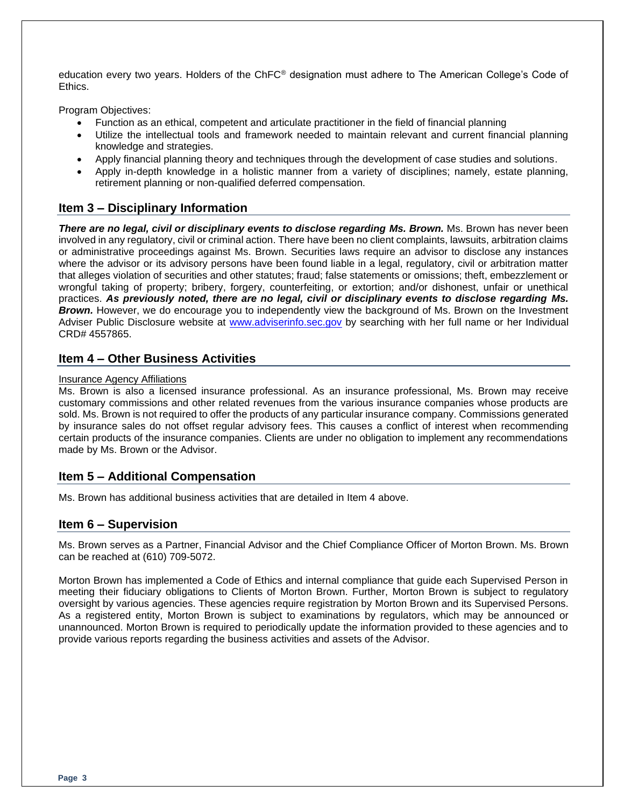education every two years. Holders of the ChFC® designation must adhere to The American College's Code of Ethics.

Program Objectives:

- Function as an ethical, competent and articulate practitioner in the field of financial planning
- Utilize the intellectual tools and framework needed to maintain relevant and current financial planning knowledge and strategies.
- Apply financial planning theory and techniques through the development of case studies and solutions.
- Apply in-depth knowledge in a holistic manner from a variety of disciplines; namely, estate planning, retirement planning or non-qualified deferred compensation.

#### **Item 3 – Disciplinary Information**

*There are no legal, civil or disciplinary events to disclose regarding Ms. Brown.* Ms. Brown has never been involved in any regulatory, civil or criminal action. There have been no client complaints, lawsuits, arbitration claims or administrative proceedings against Ms. Brown. Securities laws require an advisor to disclose any instances where the advisor or its advisory persons have been found liable in a legal, regulatory, civil or arbitration matter that alleges violation of securities and other statutes; fraud; false statements or omissions; theft, embezzlement or wrongful taking of property; bribery, forgery, counterfeiting, or extortion; and/or dishonest, unfair or unethical practices. *As previously noted, there are no legal, civil or disciplinary events to disclose regarding Ms.* **Brown.** However, we do encourage you to independently view the background of Ms. Brown on the Investment Adviser Public Disclosure website at [www.adviserinfo.sec.gov](http://www.adviserinfo.sec.gov/) by searching with her full name or her Individual CRD# 4557865.

#### **Item 4 – Other Business Activities**

#### Insurance Agency Affiliations

Ms. Brown is also a licensed insurance professional. As an insurance professional, Ms. Brown may receive customary commissions and other related revenues from the various insurance companies whose products are sold. Ms. Brown is not required to offer the products of any particular insurance company. Commissions generated by insurance sales do not offset regular advisory fees. This causes a conflict of interest when recommending certain products of the insurance companies. Clients are under no obligation to implement any recommendations made by Ms. Brown or the Advisor.

#### **Item 5 – Additional Compensation**

Ms. Brown has additional business activities that are detailed in Item 4 above.

#### **Item 6 – Supervision**

Ms. Brown serves as a Partner, Financial Advisor and the Chief Compliance Officer of Morton Brown. Ms. Brown can be reached at (610) 709-5072.

Morton Brown has implemented a Code of Ethics and internal compliance that guide each Supervised Person in meeting their fiduciary obligations to Clients of Morton Brown. Further, Morton Brown is subject to regulatory oversight by various agencies. These agencies require registration by Morton Brown and its Supervised Persons. As a registered entity, Morton Brown is subject to examinations by regulators, which may be announced or unannounced. Morton Brown is required to periodically update the information provided to these agencies and to provide various reports regarding the business activities and assets of the Advisor.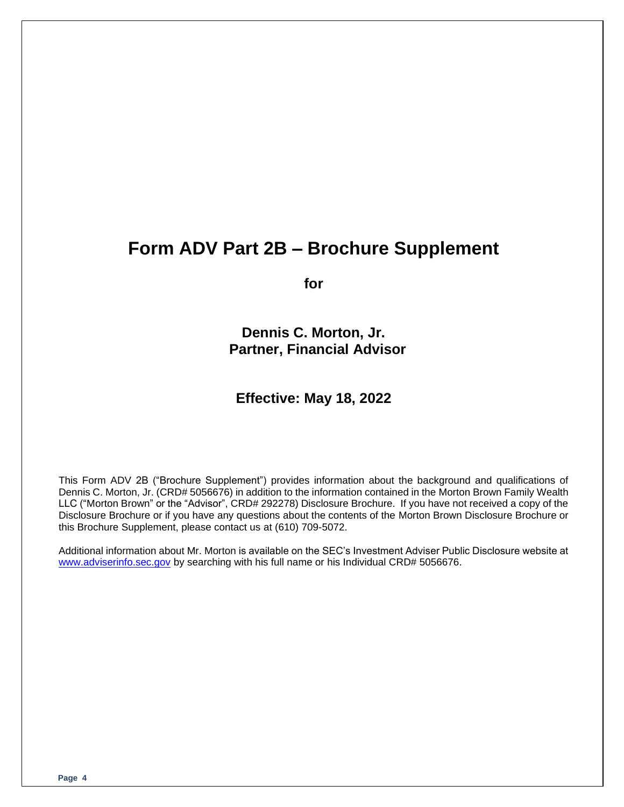### **Form ADV Part 2B – Brochure Supplement**

**for**

**Dennis C. Morton, Jr. Partner, Financial Advisor**

### **Effective: May 18, 2022**

This Form ADV 2B ("Brochure Supplement") provides information about the background and qualifications of Dennis C. Morton, Jr. (CRD# 5056676) in addition to the information contained in the Morton Brown Family Wealth LLC ("Morton Brown" or the "Advisor", CRD# 292278) Disclosure Brochure. If you have not received a copy of the Disclosure Brochure or if you have any questions about the contents of the Morton Brown Disclosure Brochure or this Brochure Supplement, please contact us at (610) 709-5072.

Additional information about Mr. Morton is available on the SEC's Investment Adviser Public Disclosure website at [www.adviserinfo.sec.gov](http://www.adviserinfo.sec.gov/) by searching with his full name or his Individual CRD# 5056676.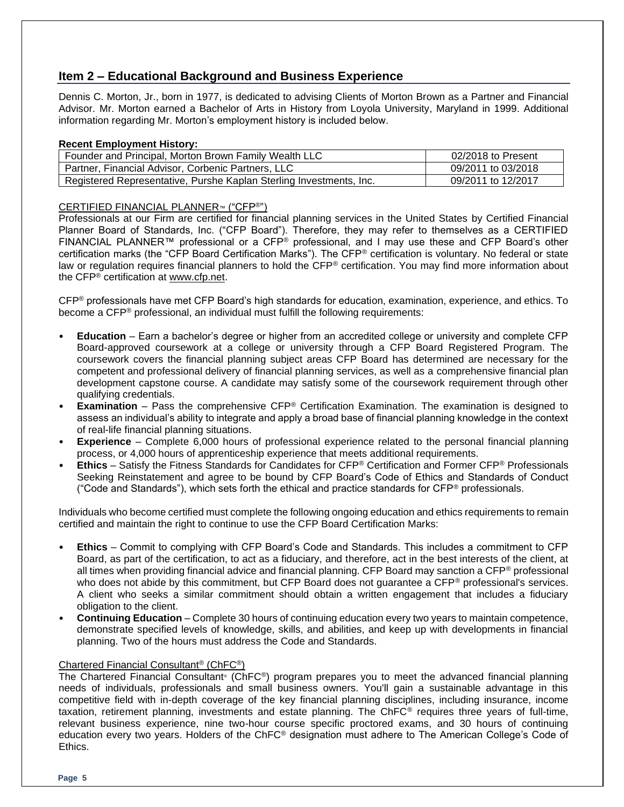#### **Item 2 – Educational Background and Business Experience**

Dennis C. Morton, Jr., born in 1977, is dedicated to advising Clients of Morton Brown as a Partner and Financial Advisor. Mr. Morton earned a Bachelor of Arts in History from Loyola University, Maryland in 1999. Additional information regarding Mr. Morton's employment history is included below.

#### **Recent Employment History:**

| Founder and Principal, Morton Brown Family Wealth LLC               | 02/2018 to Present |
|---------------------------------------------------------------------|--------------------|
| Partner, Financial Advisor, Corbenic Partners, LLC                  | 09/2011 to 03/2018 |
| Registered Representative, Purshe Kaplan Sterling Investments, Inc. | 09/2011 to 12/2017 |

#### CERTIFIED FINANCIAL PLANNER™ ("CFP®")

Professionals at our Firm are certified for financial planning services in the United States by Certified Financial Planner Board of Standards, Inc. ("CFP Board"). Therefore, they may refer to themselves as a CERTIFIED FINANCIAL PLANNER™ professional or a CFP® professional, and I may use these and CFP Board's other certification marks (the "CFP Board Certification Marks"). The CFP® certification is voluntary. No federal or state law or regulation requires financial planners to hold the CFP® certification. You may find more information about the CFP® certification at [www.cfp.net.](https://protect-us.mimecast.com/s/1HBOCqxoRqf1V6k3tXIH3k?domain=nam04.safelinks.protection.outlook.com)

CFP® professionals have met CFP Board's high standards for education, examination, experience, and ethics. To become a CFP® professional, an individual must fulfill the following requirements:

- **Education** Earn a bachelor's degree or higher from an accredited college or university and complete CFP Board-approved coursework at a college or university through a CFP Board Registered Program. The coursework covers the financial planning subject areas CFP Board has determined are necessary for the competent and professional delivery of financial planning services, as well as a comprehensive financial plan development capstone course. A candidate may satisfy some of the coursework requirement through other qualifying credentials.
- **Examination** Pass the comprehensive CFP<sup>®</sup> Certification Examination. The examination is designed to assess an individual's ability to integrate and apply a broad base of financial planning knowledge in the context of real-life financial planning situations.
- **Experience**  Complete 6,000 hours of professional experience related to the personal financial planning process, or 4,000 hours of apprenticeship experience that meets additional requirements.
- **Ethics** Satisfy the Fitness Standards for Candidates for CFP® Certification and Former CFP® Professionals Seeking Reinstatement and agree to be bound by CFP Board's Code of Ethics and Standards of Conduct ("Code and Standards"), which sets forth the ethical and practice standards for  $CFP<sup>®</sup>$  professionals.

Individuals who become certified must complete the following ongoing education and ethics requirements to remain certified and maintain the right to continue to use the CFP Board Certification Marks:

- **Ethics** Commit to complying with CFP Board's Code and Standards. This includes a commitment to CFP Board, as part of the certification, to act as a fiduciary, and therefore, act in the best interests of the client, at all times when providing financial advice and financial planning. CFP Board may sanction a CFP® professional who does not abide by this commitment, but CFP Board does not guarantee a CFP® professional's services. A client who seeks a similar commitment should obtain a written engagement that includes a fiduciary obligation to the client.
- **Continuing Education** Complete 30 hours of continuing education every two years to maintain competence, demonstrate specified levels of knowledge, skills, and abilities, and keep up with developments in financial planning. Two of the hours must address the Code and Standards.

#### Chartered Financial Consultant® (ChFC®)

The Chartered Financial Consultant® (ChFC®) program prepares you to meet the advanced financial planning needs of individuals, professionals and small business owners. You'll gain a sustainable advantage in this competitive field with in-depth coverage of the key financial planning disciplines, including insurance, income taxation, retirement planning, investments and estate planning. The ChFC® requires three years of full-time, relevant business experience, nine two-hour course specific proctored exams, and 30 hours of continuing education every two years. Holders of the ChFC® designation must adhere to The American College's Code of Ethics.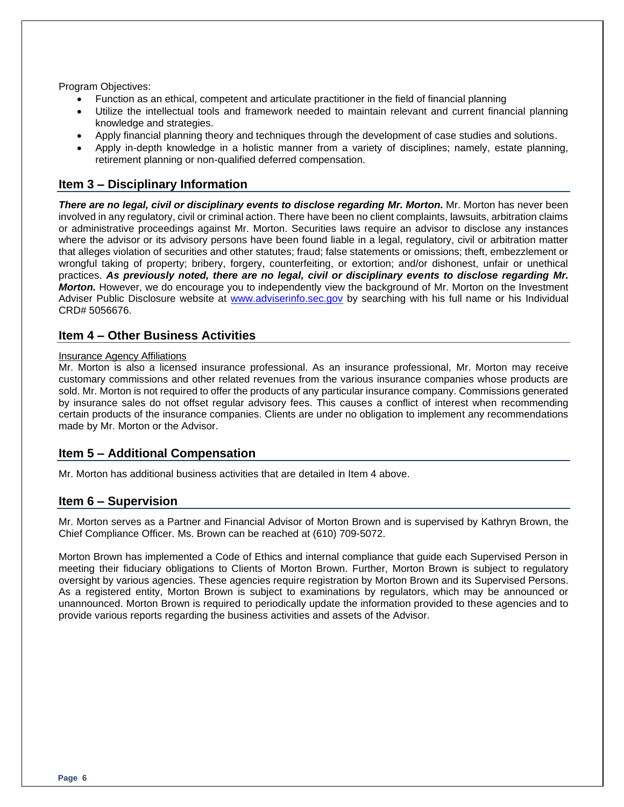Program Objectives:

- Function as an ethical, competent and articulate practitioner in the field of financial planning
- Utilize the intellectual tools and framework needed to maintain relevant and current financial planning knowledge and strategies.
- Apply financial planning theory and techniques through the development of case studies and solutions.
- Apply in-depth knowledge in a holistic manner from a variety of disciplines; namely, estate planning, retirement planning or non-qualified deferred compensation.

#### **Item 3 – Disciplinary Information**

*There are no legal, civil or disciplinary events to disclose regarding Mr. Morton.* Mr. Morton has never been involved in any regulatory, civil or criminal action. There have been no client complaints, lawsuits, arbitration claims or administrative proceedings against Mr. Morton. Securities laws require an advisor to disclose any instances where the advisor or its advisory persons have been found liable in a legal, regulatory, civil or arbitration matter that alleges violation of securities and other statutes; fraud; false statements or omissions; theft, embezzlement or wrongful taking of property; bribery, forgery, counterfeiting, or extortion; and/or dishonest, unfair or unethical practices. *As previously noted, there are no legal, civil or disciplinary events to disclose regarding Mr. Morton.* However, we do encourage you to independently view the background of Mr. Morton on the Investment Adviser Public Disclosure website at [www.adviserinfo.sec.gov](http://www.adviserinfo.sec.gov/) by searching with his full name or his Individual CRD# 5056676.

#### **Item 4 – Other Business Activities**

#### Insurance Agency Affiliations

Mr. Morton is also a licensed insurance professional. As an insurance professional, Mr. Morton may receive customary commissions and other related revenues from the various insurance companies whose products are sold. Mr. Morton is not required to offer the products of any particular insurance company. Commissions generated by insurance sales do not offset regular advisory fees. This causes a conflict of interest when recommending certain products of the insurance companies. Clients are under no obligation to implement any recommendations made by Mr. Morton or the Advisor.

#### **Item 5 – Additional Compensation**

Mr. Morton has additional business activities that are detailed in Item 4 above.

#### **Item 6 – Supervision**

Mr. Morton serves as a Partner and Financial Advisor of Morton Brown and is supervised by Kathryn Brown, the Chief Compliance Officer. Ms. Brown can be reached at (610) 709-5072.

Morton Brown has implemented a Code of Ethics and internal compliance that guide each Supervised Person in meeting their fiduciary obligations to Clients of Morton Brown. Further, Morton Brown is subject to regulatory oversight by various agencies. These agencies require registration by Morton Brown and its Supervised Persons. As a registered entity, Morton Brown is subject to examinations by regulators, which may be announced or unannounced. Morton Brown is required to periodically update the information provided to these agencies and to provide various reports regarding the business activities and assets of the Advisor.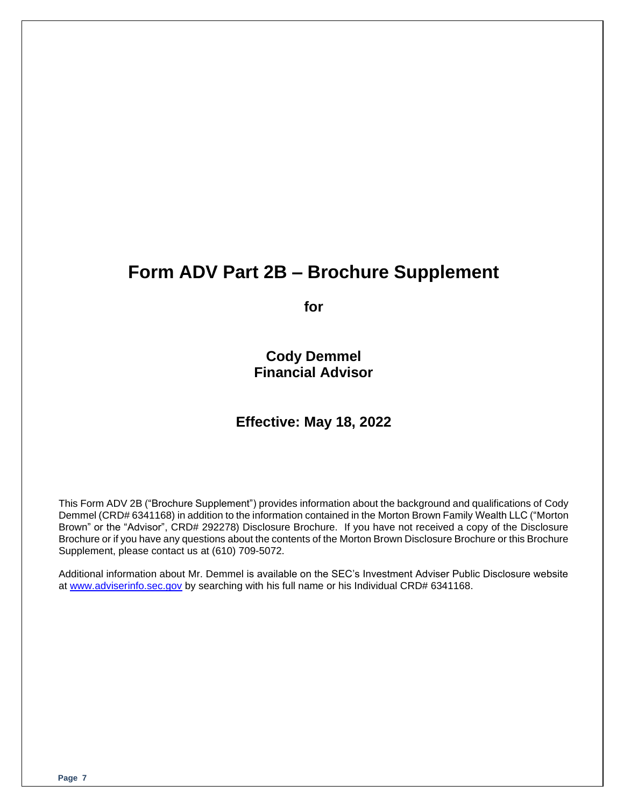## **Form ADV Part 2B – Brochure Supplement**

**for**

**Cody Demmel Financial Advisor**

### **Effective: May 18, 2022**

This Form ADV 2B ("Brochure Supplement") provides information about the background and qualifications of Cody Demmel (CRD# 6341168) in addition to the information contained in the Morton Brown Family Wealth LLC ("Morton Brown" or the "Advisor", CRD# 292278) Disclosure Brochure. If you have not received a copy of the Disclosure Brochure or if you have any questions about the contents of the Morton Brown Disclosure Brochure or this Brochure Supplement, please contact us at (610) 709-5072.

Additional information about Mr. Demmel is available on the SEC's Investment Adviser Public Disclosure website at [www.adviserinfo.sec.gov](http://www.adviserinfo.sec.gov/) by searching with his full name or his Individual CRD# 6341168.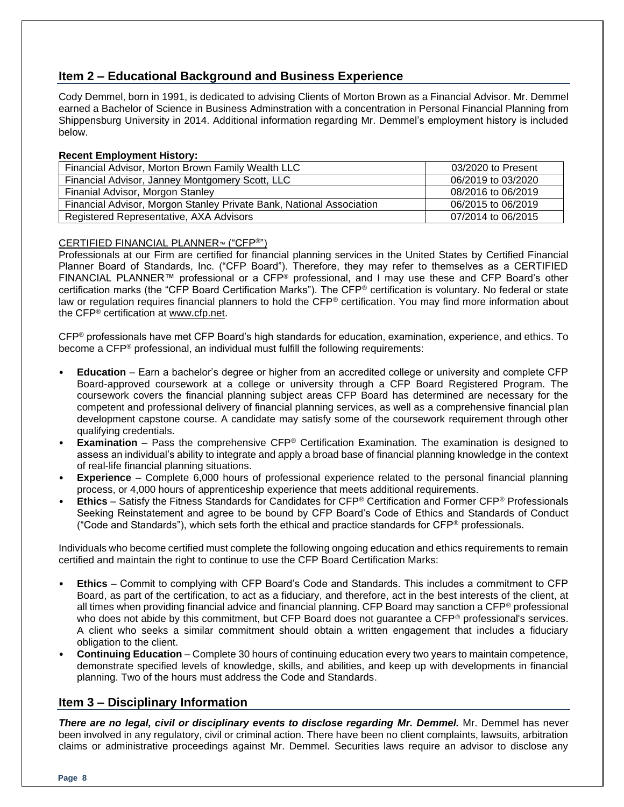#### **Item 2 – Educational Background and Business Experience**

Cody Demmel, born in 1991, is dedicated to advising Clients of Morton Brown as a Financial Advisor. Mr. Demmel earned a Bachelor of Science in Business Adminstration with a concentration in Personal Financial Planning from Shippensburg University in 2014. Additional information regarding Mr. Demmel's employment history is included below.

#### **Recent Employment History:**

| Financial Advisor, Morton Brown Family Wealth LLC                    | 03/2020 to Present |
|----------------------------------------------------------------------|--------------------|
| Financial Advisor, Janney Montgomery Scott, LLC                      | 06/2019 to 03/2020 |
| Finanial Advisor, Morgon Stanley                                     | 08/2016 to 06/2019 |
| Financial Advisor, Morgon Stanley Private Bank, National Association | 06/2015 to 06/2019 |
| Registered Representative, AXA Advisors                              | 07/2014 to 06/2015 |

#### CERTIFIED FINANCIAL PLANNER™ ("CFP®")

Professionals at our Firm are certified for financial planning services in the United States by Certified Financial Planner Board of Standards, Inc. ("CFP Board"). Therefore, they may refer to themselves as a CERTIFIED FINANCIAL PLANNER™ professional or a CFP® professional, and I may use these and CFP Board's other certification marks (the "CFP Board Certification Marks"). The CFP® certification is voluntary. No federal or state law or regulation requires financial planners to hold the CFP® certification. You may find more information about the CFP® certification at [www.cfp.net.](https://protect-us.mimecast.com/s/1HBOCqxoRqf1V6k3tXIH3k?domain=nam04.safelinks.protection.outlook.com)

CFP® professionals have met CFP Board's high standards for education, examination, experience, and ethics. To become a CFP® professional, an individual must fulfill the following requirements:

- **Education** Earn a bachelor's degree or higher from an accredited college or university and complete CFP Board-approved coursework at a college or university through a CFP Board Registered Program. The coursework covers the financial planning subject areas CFP Board has determined are necessary for the competent and professional delivery of financial planning services, as well as a comprehensive financial plan development capstone course. A candidate may satisfy some of the coursework requirement through other qualifying credentials.
- **Examination** Pass the comprehensive CFP<sup>®</sup> Certification Examination. The examination is designed to assess an individual's ability to integrate and apply a broad base of financial planning knowledge in the context of real-life financial planning situations.
- **Experience**  Complete 6,000 hours of professional experience related to the personal financial planning process, or 4,000 hours of apprenticeship experience that meets additional requirements.
- **Ethics** Satisfy the Fitness Standards for Candidates for CFP® Certification and Former CFP® Professionals Seeking Reinstatement and agree to be bound by CFP Board's Code of Ethics and Standards of Conduct ("Code and Standards"), which sets forth the ethical and practice standards for CFP® professionals.

Individuals who become certified must complete the following ongoing education and ethics requirements to remain certified and maintain the right to continue to use the CFP Board Certification Marks:

- **Ethics** Commit to complying with CFP Board's Code and Standards. This includes a commitment to CFP Board, as part of the certification, to act as a fiduciary, and therefore, act in the best interests of the client, at all times when providing financial advice and financial planning. CFP Board may sanction a CFP<sup>®</sup> professional who does not abide by this commitment, but CFP Board does not quarantee a CFP<sup>®</sup> professional's services. A client who seeks a similar commitment should obtain a written engagement that includes a fiduciary obligation to the client.
- **Continuing Education** Complete 30 hours of continuing education every two years to maintain competence, demonstrate specified levels of knowledge, skills, and abilities, and keep up with developments in financial planning. Two of the hours must address the Code and Standards.

#### **Item 3 – Disciplinary Information**

*There are no legal, civil or disciplinary events to disclose regarding Mr. Demmel.* Mr. Demmel has never been involved in any regulatory, civil or criminal action. There have been no client complaints, lawsuits, arbitration claims or administrative proceedings against Mr. Demmel. Securities laws require an advisor to disclose any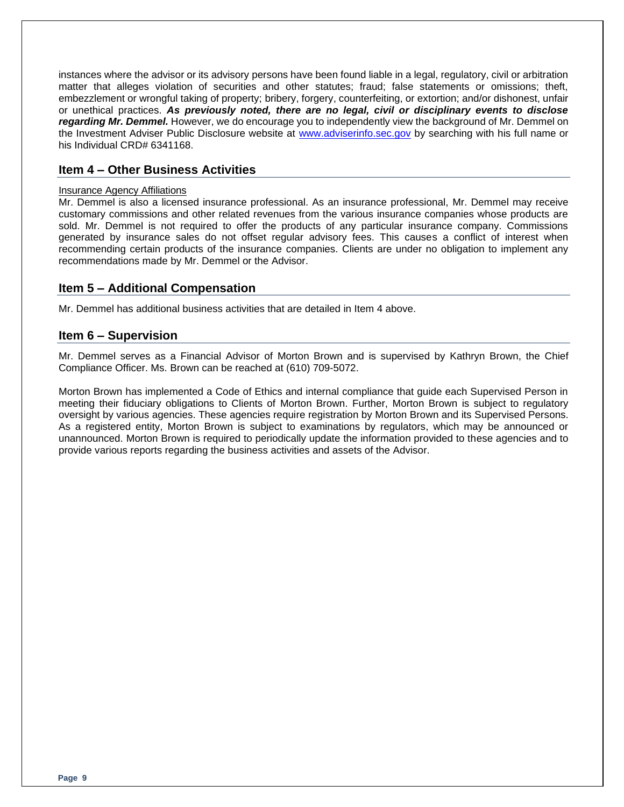instances where the advisor or its advisory persons have been found liable in a legal, regulatory, civil or arbitration matter that alleges violation of securities and other statutes; fraud; false statements or omissions; theft, embezzlement or wrongful taking of property; bribery, forgery, counterfeiting, or extortion; and/or dishonest, unfair or unethical practices. *As previously noted, there are no legal, civil or disciplinary events to disclose regarding Mr. Demmel.* However, we do encourage you to independently view the background of Mr. Demmel on the Investment Adviser Public Disclosure website at [www.adviserinfo.sec.gov](http://www.adviserinfo.sec.gov/) by searching with his full name or his Individual CRD# 6341168.

#### **Item 4 – Other Business Activities**

#### Insurance Agency Affiliations

Mr. Demmel is also a licensed insurance professional. As an insurance professional, Mr. Demmel may receive customary commissions and other related revenues from the various insurance companies whose products are sold. Mr. Demmel is not required to offer the products of any particular insurance company. Commissions generated by insurance sales do not offset regular advisory fees. This causes a conflict of interest when recommending certain products of the insurance companies. Clients are under no obligation to implement any recommendations made by Mr. Demmel or the Advisor.

#### **Item 5 – Additional Compensation**

Mr. Demmel has additional business activities that are detailed in Item 4 above.

#### **Item 6 – Supervision**

Mr. Demmel serves as a Financial Advisor of Morton Brown and is supervised by Kathryn Brown, the Chief Compliance Officer. Ms. Brown can be reached at (610) 709-5072.

Morton Brown has implemented a Code of Ethics and internal compliance that guide each Supervised Person in meeting their fiduciary obligations to Clients of Morton Brown. Further, Morton Brown is subject to regulatory oversight by various agencies. These agencies require registration by Morton Brown and its Supervised Persons. As a registered entity, Morton Brown is subject to examinations by regulators, which may be announced or unannounced. Morton Brown is required to periodically update the information provided to these agencies and to provide various reports regarding the business activities and assets of the Advisor.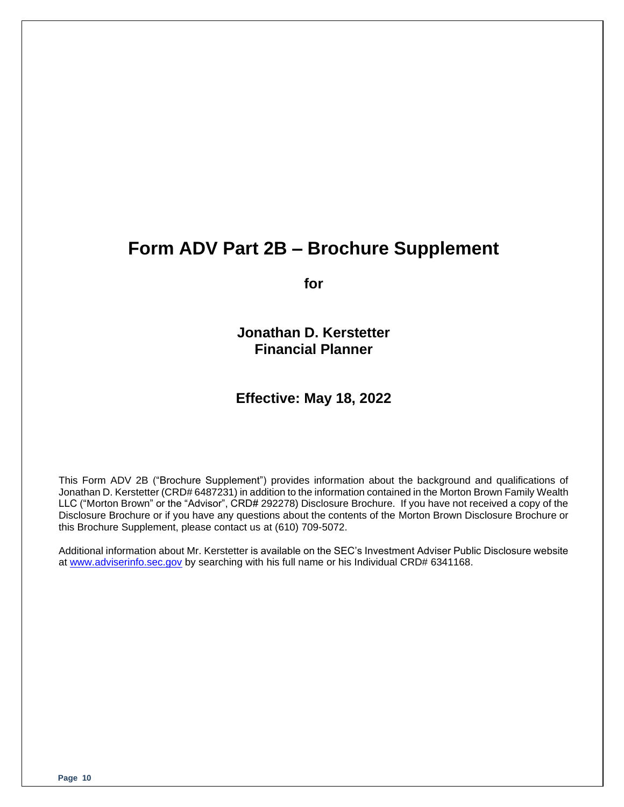### **Form ADV Part 2B – Brochure Supplement**

**for**

**Jonathan D. Kerstetter Financial Planner**

#### **Effective: May 18, 2022**

This Form ADV 2B ("Brochure Supplement") provides information about the background and qualifications of Jonathan D. Kerstetter (CRD# 6487231) in addition to the information contained in the Morton Brown Family Wealth LLC ("Morton Brown" or the "Advisor", CRD# 292278) Disclosure Brochure. If you have not received a copy of the Disclosure Brochure or if you have any questions about the contents of the Morton Brown Disclosure Brochure or this Brochure Supplement, please contact us at (610) 709-5072.

Additional information about Mr. Kerstetter is available on the SEC's Investment Adviser Public Disclosure website at [www.adviserinfo.sec.gov](http://www.adviserinfo.sec.gov/) by searching with his full name or his Individual CRD# 6341168.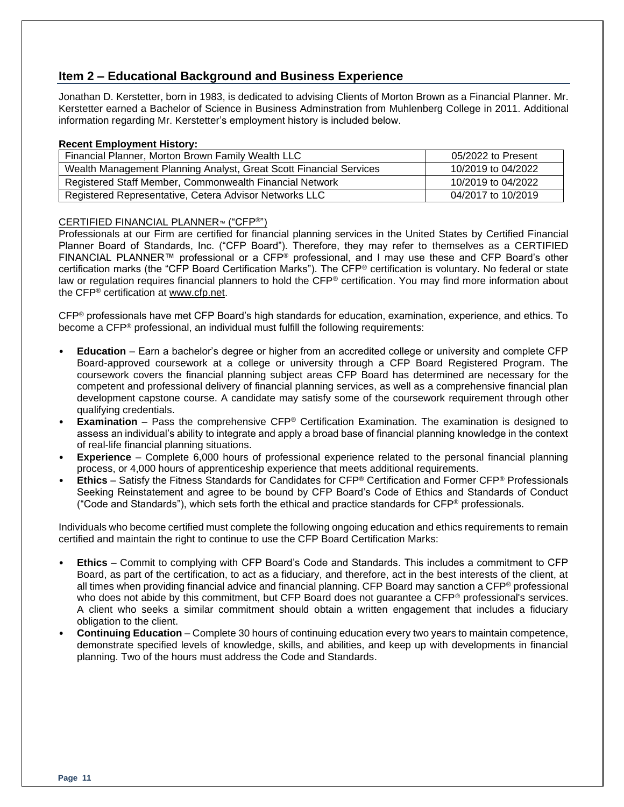#### **Item 2 – Educational Background and Business Experience**

Jonathan D. Kerstetter, born in 1983, is dedicated to advising Clients of Morton Brown as a Financial Planner. Mr. Kerstetter earned a Bachelor of Science in Business Adminstration from Muhlenberg College in 2011. Additional information regarding Mr. Kerstetter's employment history is included below.

#### **Recent Employment History:**

| Financial Planner, Morton Brown Family Wealth LLC                  | 05/2022 to Present |
|--------------------------------------------------------------------|--------------------|
| Wealth Management Planning Analyst, Great Scott Financial Services | 10/2019 to 04/2022 |
| Registered Staff Member, Commonwealth Financial Network            | 10/2019 to 04/2022 |
| Registered Representative, Cetera Advisor Networks LLC             | 04/2017 to 10/2019 |

#### CERTIFIED FINANCIAL PLANNER™ ("CFP®")

Professionals at our Firm are certified for financial planning services in the United States by Certified Financial Planner Board of Standards, Inc. ("CFP Board"). Therefore, they may refer to themselves as a CERTIFIED FINANCIAL PLANNER™ professional or a CFP® professional, and I may use these and CFP Board's other certification marks (the "CFP Board Certification Marks"). The CFP® certification is voluntary. No federal or state law or regulation requires financial planners to hold the CFP® certification. You may find more information about the CFP® certification at [www.cfp.net.](https://protect-us.mimecast.com/s/1HBOCqxoRqf1V6k3tXIH3k?domain=nam04.safelinks.protection.outlook.com)

CFP® professionals have met CFP Board's high standards for education, examination, experience, and ethics. To become a CFP® professional, an individual must fulfill the following requirements:

- **Education** Earn a bachelor's degree or higher from an accredited college or university and complete CFP Board-approved coursework at a college or university through a CFP Board Registered Program. The coursework covers the financial planning subject areas CFP Board has determined are necessary for the competent and professional delivery of financial planning services, as well as a comprehensive financial plan development capstone course. A candidate may satisfy some of the coursework requirement through other qualifying credentials.
- **Examination** Pass the comprehensive CFP<sup>®</sup> Certification Examination. The examination is designed to assess an individual's ability to integrate and apply a broad base of financial planning knowledge in the context of real-life financial planning situations.
- **Experience**  Complete 6,000 hours of professional experience related to the personal financial planning process, or 4,000 hours of apprenticeship experience that meets additional requirements.
- **Ethics** Satisfy the Fitness Standards for Candidates for CFP® Certification and Former CFP® Professionals Seeking Reinstatement and agree to be bound by CFP Board's Code of Ethics and Standards of Conduct ("Code and Standards"), which sets forth the ethical and practice standards for  $CFP<sup>®</sup>$  professionals.

Individuals who become certified must complete the following ongoing education and ethics requirements to remain certified and maintain the right to continue to use the CFP Board Certification Marks:

- **Ethics** Commit to complying with CFP Board's Code and Standards. This includes a commitment to CFP Board, as part of the certification, to act as a fiduciary, and therefore, act in the best interests of the client, at all times when providing financial advice and financial planning. CFP Board may sanction a CFP<sup>®</sup> professional who does not abide by this commitment, but CFP Board does not guarantee a CFP<sup>®</sup> professional's services. A client who seeks a similar commitment should obtain a written engagement that includes a fiduciary obligation to the client.
- **Continuing Education** Complete 30 hours of continuing education every two years to maintain competence, demonstrate specified levels of knowledge, skills, and abilities, and keep up with developments in financial planning. Two of the hours must address the Code and Standards.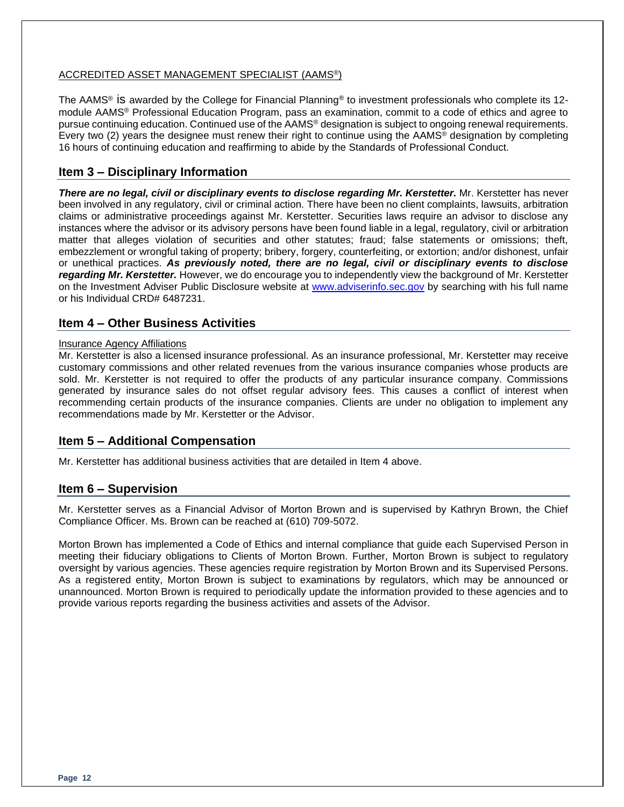#### ACCREDITED ASSET MANAGEMENT SPECIALIST (AAMS®)

The AAMS® is awarded by the College for Financial Planning**®** to investment professionals who complete its 12 module AAMS® Professional Education Program, pass an examination, commit to a code of ethics and agree to pursue continuing education. Continued use of the AAMS® designation is subject to ongoing renewal requirements. Every two (2) years the designee must renew their right to continue using the AAMS® designation by completing 16 hours of continuing education and reaffirming to abide by the Standards of Professional Conduct.

#### **Item 3 – Disciplinary Information**

*There are no legal, civil or disciplinary events to disclose regarding Mr. Kerstetter.* Mr. Kerstetter has never been involved in any regulatory, civil or criminal action. There have been no client complaints, lawsuits, arbitration claims or administrative proceedings against Mr. Kerstetter. Securities laws require an advisor to disclose any instances where the advisor or its advisory persons have been found liable in a legal, regulatory, civil or arbitration matter that alleges violation of securities and other statutes; fraud; false statements or omissions; theft, embezzlement or wrongful taking of property; bribery, forgery, counterfeiting, or extortion; and/or dishonest, unfair or unethical practices. *As previously noted, there are no legal, civil or disciplinary events to disclose regarding Mr. Kerstetter.* However, we do encourage you to independently view the background of Mr. Kerstetter on the Investment Adviser Public Disclosure website at [www.adviserinfo.sec.gov](http://www.adviserinfo.sec.gov/) by searching with his full name or his Individual CRD# 6487231.

#### **Item 4 – Other Business Activities**

#### Insurance Agency Affiliations

Mr. Kerstetter is also a licensed insurance professional. As an insurance professional, Mr. Kerstetter may receive customary commissions and other related revenues from the various insurance companies whose products are sold. Mr. Kerstetter is not required to offer the products of any particular insurance company. Commissions generated by insurance sales do not offset regular advisory fees. This causes a conflict of interest when recommending certain products of the insurance companies. Clients are under no obligation to implement any recommendations made by Mr. Kerstetter or the Advisor.

#### **Item 5 – Additional Compensation**

Mr. Kerstetter has additional business activities that are detailed in Item 4 above.

#### **Item 6 – Supervision**

Mr. Kerstetter serves as a Financial Advisor of Morton Brown and is supervised by Kathryn Brown, the Chief Compliance Officer. Ms. Brown can be reached at (610) 709-5072.

Morton Brown has implemented a Code of Ethics and internal compliance that guide each Supervised Person in meeting their fiduciary obligations to Clients of Morton Brown. Further, Morton Brown is subject to regulatory oversight by various agencies. These agencies require registration by Morton Brown and its Supervised Persons. As a registered entity, Morton Brown is subject to examinations by regulators, which may be announced or unannounced. Morton Brown is required to periodically update the information provided to these agencies and to provide various reports regarding the business activities and assets of the Advisor.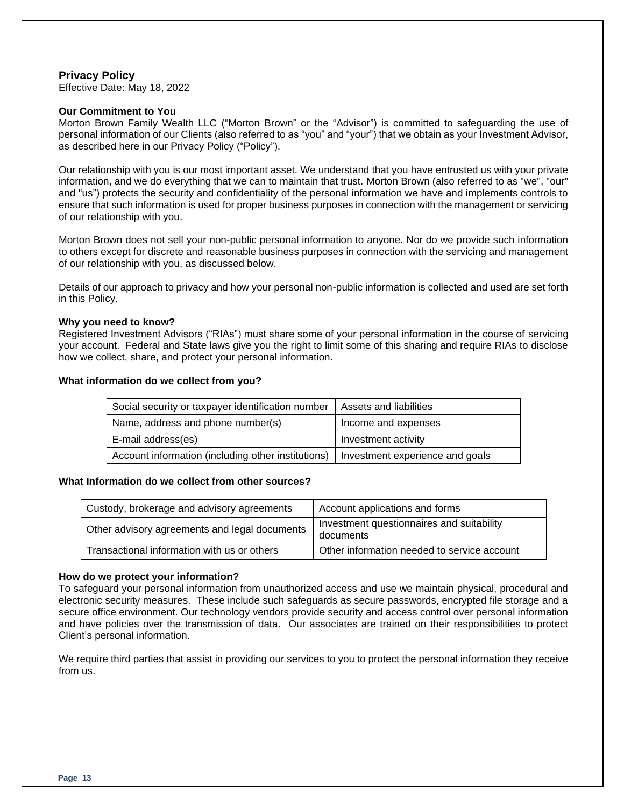#### **Privacy Policy**

Effective Date: May 18, 2022

#### **Our Commitment to You**

Morton Brown Family Wealth LLC ("Morton Brown" or the "Advisor") is committed to safeguarding the use of personal information of our Clients (also referred to as "you" and "your") that we obtain as your Investment Advisor, as described here in our Privacy Policy ("Policy").

Our relationship with you is our most important asset. We understand that you have entrusted us with your private information, and we do everything that we can to maintain that trust. Morton Brown (also referred to as "we", "our" and "us") protects the security and confidentiality of the personal information we have and implements controls to ensure that such information is used for proper business purposes in connection with the management or servicing of our relationship with you.

Morton Brown does not sell your non-public personal information to anyone. Nor do we provide such information to others except for discrete and reasonable business purposes in connection with the servicing and management of our relationship with you, as discussed below.

Details of our approach to privacy and how your personal non-public information is collected and used are set forth in this Policy.

#### **Why you need to know?**

Registered Investment Advisors ("RIAs") must share some of your personal information in the course of servicing your account. Federal and State laws give you the right to limit some of this sharing and require RIAs to disclose how we collect, share, and protect your personal information.

#### **What information do we collect from you?**

| Social security or taxpayer identification number  | Assets and liabilities          |
|----------------------------------------------------|---------------------------------|
| Name, address and phone number(s)                  | Income and expenses             |
| E-mail address(es)                                 | Investment activity             |
| Account information (including other institutions) | Investment experience and goals |

#### **What Information do we collect from other sources?**

| Custody, brokerage and advisory agreements    | Account applications and forms                         |
|-----------------------------------------------|--------------------------------------------------------|
| Other advisory agreements and legal documents | Investment questionnaires and suitability<br>documents |
| Transactional information with us or others   | Other information needed to service account            |

#### **How do we protect your information?**

To safeguard your personal information from unauthorized access and use we maintain physical, procedural and electronic security measures. These include such safeguards as secure passwords, encrypted file storage and a secure office environment. Our technology vendors provide security and access control over personal information and have policies over the transmission of data. Our associates are trained on their responsibilities to protect Client's personal information.

We require third parties that assist in providing our services to you to protect the personal information they receive from us.